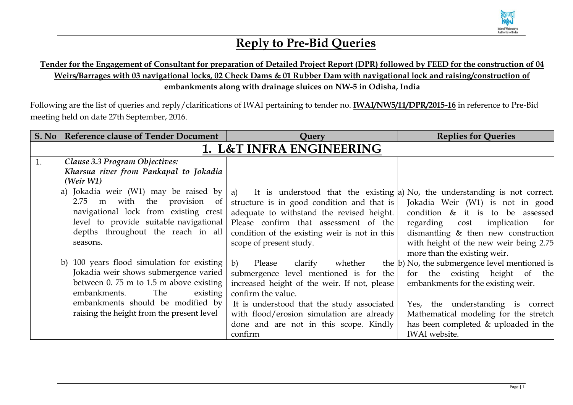

## **Reply to Pre-Bid Queries**

## **Tender for the Engagement of Consultant for preparation of Detailed Project Report (DPR) followed by FEED for the construction of 04 Weirs/Barrages with 03 navigational locks, 02 Check Dams & 01 Rubber Dam with navigational lock and raising/construction of embankments along with drainage sluices on NW-5 in Odisha, India**

Following are the list of queries and reply/clarifications of IWAI pertaining to tender no. **IWAI/NW5/11/DPR/2015-16** in reference to Pre-Bid meeting held on date 27th September, 2016.

|                          | S. No   Reference clause of Tender Document   | Query                                         | <b>Replies for Queries</b>                                                 |  |
|--------------------------|-----------------------------------------------|-----------------------------------------------|----------------------------------------------------------------------------|--|
| 1. L&T INFRA ENGINEERING |                                               |                                               |                                                                            |  |
| 1.                       | Clause 3.3 Program Objectives:                |                                               |                                                                            |  |
|                          | Kharsua river from Pankapal to Jokadia        |                                               |                                                                            |  |
|                          | (Weir W1)                                     |                                               |                                                                            |  |
|                          | Jokadia weir (W1) may be raised by<br>a)      | a)                                            | It is understood that the existing a No, the understanding is not correct. |  |
|                          | m with the provision<br>2.75<br>$\sigma$      | structure is in good condition and that is    | Jokadia Weir (W1) is not in good                                           |  |
|                          | navigational lock from existing crest         | adequate to withstand the revised height.     | condition & it is to be assessed                                           |  |
|                          | level to provide suitable navigational        | Please confirm that assessment of the         | regarding<br>cost implication<br>for                                       |  |
|                          | depths throughout the reach in all            | condition of the existing weir is not in this | dismantling & then new construction                                        |  |
|                          | seasons.                                      | scope of present study.                       | with height of the new weir being 2.75                                     |  |
|                          |                                               |                                               | more than the existing weir.                                               |  |
|                          | 100 years flood simulation for existing<br> b | b)<br>Please<br>clarify<br>whether            | the b) No, the submergence level mentioned is                              |  |
|                          | Jokadia weir shows submergence varied         | submergence level mentioned is for the        | for the existing height of the                                             |  |
|                          | between 0.75 m to 1.5 m above existing        | increased height of the weir. If not, please  | embankments for the existing weir.                                         |  |
|                          | embankments.<br>The<br>existing               | confirm the value.                            |                                                                            |  |
|                          | embankments should be modified by             | It is understood that the study associated    | Yes, the understanding is correct                                          |  |
|                          | raising the height from the present level     | with flood/erosion simulation are already     | Mathematical modeling for the stretch                                      |  |
|                          |                                               | done and are not in this scope. Kindly        | has been completed $&$ uploaded in the                                     |  |
|                          |                                               | confirm                                       | <b>IWAI</b> website.                                                       |  |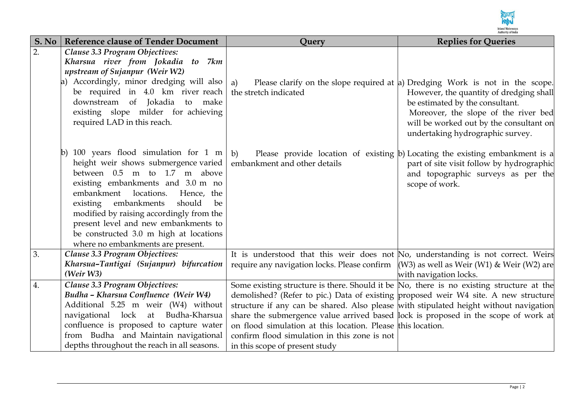

| S. No            | <b>Reference clause of Tender Document</b>    | Query                                                                                    | <b>Replies for Queries</b>                                                   |
|------------------|-----------------------------------------------|------------------------------------------------------------------------------------------|------------------------------------------------------------------------------|
| $\overline{2}$ . | Clause 3.3 Program Objectives:                |                                                                                          |                                                                              |
|                  | Kharsua river from Jokadia to 7km             |                                                                                          |                                                                              |
|                  | upstream of Sujanpur (Weir W2)                |                                                                                          |                                                                              |
|                  | Accordingly, minor dredging will also         | a)                                                                                       | Please clarify on the slope required at a Dredging Work is not in the scope. |
|                  | be required in 4.0 km river reach             | the stretch indicated                                                                    | However, the quantity of dredging shall                                      |
|                  | downstream of Jokadia to make                 |                                                                                          | be estimated by the consultant.                                              |
|                  | existing slope milder for achieving           |                                                                                          | Moreover, the slope of the river bed                                         |
|                  | required LAD in this reach.                   |                                                                                          | will be worked out by the consultant on                                      |
|                  |                                               |                                                                                          | undertaking hydrographic survey.                                             |
|                  | b) 100 years flood simulation for 1 m $\vert$ | b)                                                                                       | Please provide location of existing b) Locating the existing embankment is a |
|                  | height weir shows submergence varied          | embankment and other details                                                             | part of site visit follow by hydrographic                                    |
|                  | between 0.5 m to 1.7 m above                  |                                                                                          | and topographic surveys as per the                                           |
|                  | existing embankments and 3.0 m no             |                                                                                          | scope of work.                                                               |
|                  | embankment locations.<br>Hence, the           |                                                                                          |                                                                              |
|                  | existing embankments<br>should<br>be          |                                                                                          |                                                                              |
|                  | modified by raising accordingly from the      |                                                                                          |                                                                              |
|                  | present level and new embankments to          |                                                                                          |                                                                              |
|                  | be constructed 3.0 m high at locations        |                                                                                          |                                                                              |
|                  | where no embankments are present.             |                                                                                          |                                                                              |
| 3.               | Clause 3.3 Program Objectives:                | It is understood that this weir does not No, understanding is not correct. Weirs         |                                                                              |
|                  | Kharsua-Tantigai (Sujanpur) bifurcation       | require any navigation locks. Please confirm                                             | $(W3)$ as well as Weir (W1) & Weir (W2) are                                  |
|                  | (Weir W3)                                     |                                                                                          | with navigation locks.                                                       |
| 4.               | Clause 3.3 Program Objectives:                | Some existing structure is there. Should it be No, there is no existing structure at the |                                                                              |
|                  | Budha - Kharsua Confluence (Weir W4)          | demolished? (Refer to pic.) Data of existing proposed weir W4 site. A new structure      |                                                                              |
|                  | Additional 5.25 m weir (W4) without           | structure if any can be shared. Also please with stipulated height without navigation    |                                                                              |
|                  | navigational lock at Budha-Kharsua            | share the submergence value arrived based lock is proposed in the scope of work at       |                                                                              |
|                  | confluence is proposed to capture water       | on flood simulation at this location. Please this location.                              |                                                                              |
|                  | from Budha and Maintain navigational          | confirm flood simulation in this zone is not                                             |                                                                              |
|                  | depths throughout the reach in all seasons.   | in this scope of present study                                                           |                                                                              |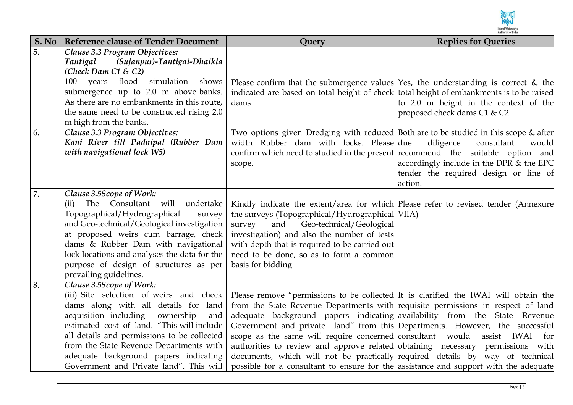

| S. No | <b>Reference clause of Tender Document</b>                                       | Query                                                                                                                                                                             | <b>Replies for Queries</b>                                                          |
|-------|----------------------------------------------------------------------------------|-----------------------------------------------------------------------------------------------------------------------------------------------------------------------------------|-------------------------------------------------------------------------------------|
| 5.    | Clause 3.3 Program Objectives:                                                   |                                                                                                                                                                                   |                                                                                     |
|       | (Sujanpur)-Tantigai-Dhaikia<br>Tantigal                                          |                                                                                                                                                                                   |                                                                                     |
|       | (Check Dam C1 & C2)<br>flood<br>simulation<br>100 years<br>shows                 |                                                                                                                                                                                   |                                                                                     |
|       | submergence up to 2.0 m above banks.                                             | Please confirm that the submergence values $Yes$ , the understanding is correct & the<br>indicated are based on total height of check total height of embankments is to be raised |                                                                                     |
|       | As there are no embankments in this route,                                       | dams                                                                                                                                                                              | to 2.0 m height in the context of the                                               |
|       | the same need to be constructed rising 2.0                                       |                                                                                                                                                                                   | proposed check dams C1 & C2.                                                        |
|       | m high from the banks.                                                           |                                                                                                                                                                                   |                                                                                     |
| 6.    | Clause 3.3 Program Objectives:                                                   | Two options given Dredging with reduced Both are to be studied in this scope & after                                                                                              |                                                                                     |
|       | Kani River till Padnipal (Rubber Dam                                             | width Rubber dam with locks. Please due                                                                                                                                           | diligence<br>consultant<br>would                                                    |
|       | with navigational lock W5)                                                       | confirm which need to studied in the present recommend the suitable option and                                                                                                    |                                                                                     |
|       |                                                                                  | scope.                                                                                                                                                                            | accordingly include in the DPR $&$ the EPC<br>tender the required design or line of |
|       |                                                                                  |                                                                                                                                                                                   | action.                                                                             |
| 7.    | Clause 3.5Scope of Work:                                                         |                                                                                                                                                                                   |                                                                                     |
|       | The Consultant will<br>undertake<br>(ii)                                         | Kindly indicate the extent/area for which Please refer to revised tender (Annexure                                                                                                |                                                                                     |
|       | Topographical/Hydrographical<br>survey                                           | the surveys (Topographical/Hydrographical NIIA)                                                                                                                                   |                                                                                     |
|       | and Geo-technical/Geological investigation                                       | and<br>Geo-technical/Geological<br>survey                                                                                                                                         |                                                                                     |
|       | at proposed weirs cum barrage, check                                             | investigation) and also the number of tests                                                                                                                                       |                                                                                     |
|       | dams & Rubber Dam with navigational                                              | with depth that is required to be carried out                                                                                                                                     |                                                                                     |
|       | lock locations and analyses the data for the                                     | need to be done, so as to form a common                                                                                                                                           |                                                                                     |
|       | purpose of design of structures as per<br>prevailing guidelines.                 | basis for bidding                                                                                                                                                                 |                                                                                     |
| 8.    | Clause 3.5Scope of Work:                                                         |                                                                                                                                                                                   |                                                                                     |
|       | (iii) Site selection of weirs and check                                          | Please remove "permissions to be collected It is clarified the IWAI will obtain the                                                                                               |                                                                                     |
|       | dams along with all details for land                                             | from the State Revenue Departments with requisite permissions in respect of land                                                                                                  |                                                                                     |
|       | acquisition including<br>ownership<br>and                                        | adequate background papers indicating availability from the State Revenue                                                                                                         |                                                                                     |
|       | estimated cost of land. "This will include                                       | Government and private land" from this Departments. However, the successful                                                                                                       |                                                                                     |
|       | all details and permissions to be collected                                      | scope as the same will require concerned consultant would                                                                                                                         | assist IWAI<br>for                                                                  |
|       | from the State Revenue Departments with                                          | authorities to review and approve related obtaining necessary permissions with                                                                                                    |                                                                                     |
|       | adequate background papers indicating<br>Government and Private land". This will | documents, which will not be practically required details by way of technical                                                                                                     |                                                                                     |
|       |                                                                                  | possible for a consultant to ensure for the assistance and support with the adequate                                                                                              |                                                                                     |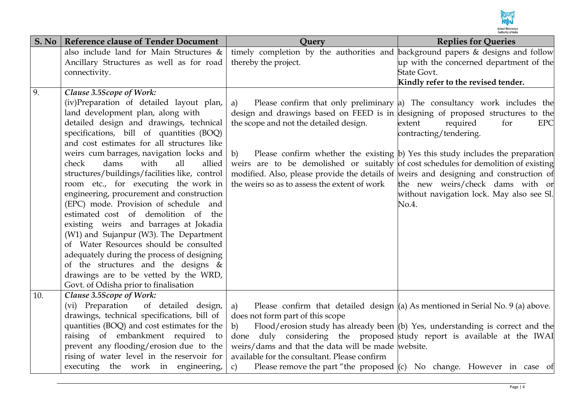

| S. No | <b>Reference clause of Tender Document</b>                                         | Query                                                                                     | <b>Replies for Queries</b>                                                           |
|-------|------------------------------------------------------------------------------------|-------------------------------------------------------------------------------------------|--------------------------------------------------------------------------------------|
|       | also include land for Main Structures &                                            | timely completion by the authorities and background papers & designs and follow           |                                                                                      |
|       | Ancillary Structures as well as for road                                           | thereby the project.                                                                      | up with the concerned department of the                                              |
|       | connectivity.                                                                      |                                                                                           | <b>State Govt.</b>                                                                   |
|       |                                                                                    |                                                                                           | Kindly refer to the revised tender.                                                  |
| 9.    | Clause 3.5Scope of Work:                                                           |                                                                                           |                                                                                      |
|       | (iv)Preparation of detailed layout plan,                                           | a)                                                                                        | Please confirm that only preliminary a) The consultancy work includes the            |
|       | land development plan, along with                                                  | design and drawings based on FEED is in designing of proposed structures to the           |                                                                                      |
|       | detailed design and drawings, technical                                            | the scope and not the detailed design.                                                    | required<br>extent<br>for<br><b>EPC</b>                                              |
|       | specifications, bill of quantities (BOQ)                                           |                                                                                           | contracting/tendering.                                                               |
|       | and cost estimates for all structures like                                         |                                                                                           |                                                                                      |
|       | weirs cum barrages, navigation locks and<br>check<br>with<br>all<br>dams<br>allied | b)<br>weirs are to be demolished or suitably of cost schedules for demolition of existing | Please confirm whether the existing $ b $ Yes this study includes the preparation    |
|       | structures/buildings/facilities like, control                                      | modified. Also, please provide the details of weirs and designing and construction of     |                                                                                      |
|       | room etc., for executing the work in                                               | the weirs so as to assess the extent of work                                              | the new weirs/check dams with or                                                     |
|       | engineering, procurement and construction                                          |                                                                                           | without navigation lock. May also see Sl.                                            |
|       | (EPC) mode. Provision of schedule and                                              |                                                                                           | No.4.                                                                                |
|       | estimated cost of demolition of the                                                |                                                                                           |                                                                                      |
|       | existing weirs and barrages at Jokadia                                             |                                                                                           |                                                                                      |
|       | (W1) and Sujanpur (W3). The Department                                             |                                                                                           |                                                                                      |
|       | of Water Resources should be consulted                                             |                                                                                           |                                                                                      |
|       | adequately during the process of designing                                         |                                                                                           |                                                                                      |
|       | of the structures and the designs &                                                |                                                                                           |                                                                                      |
|       | drawings are to be vetted by the WRD,                                              |                                                                                           |                                                                                      |
|       | Govt. of Odisha prior to finalisation                                              |                                                                                           |                                                                                      |
| 10.   | Clause 3.5Scope of Work:                                                           |                                                                                           |                                                                                      |
|       | (vi) Preparation<br>of detailed design,                                            | a)                                                                                        | Please confirm that detailed design $(a)$ As mentioned in Serial No. 9 (a) above.    |
|       | drawings, technical specifications, bill of                                        | does not form part of this scope                                                          |                                                                                      |
|       | quantities (BOQ) and cost estimates for the                                        | b)                                                                                        | Flood/erosion study has already been $($ b $)$ Yes, understanding is correct and the |
|       | raising of embankment required to                                                  | done                                                                                      | duly considering the proposed study report is available at the IWAI                  |
|       | prevent any flooding/erosion due to the                                            | weirs/dams and that the data will be made website.                                        |                                                                                      |
|       | rising of water level in the reservoir for<br>executing the work in engineering,   | available for the consultant. Please confirm                                              |                                                                                      |
|       |                                                                                    | $\mathcal{C}$ )                                                                           | Please remove the part "the proposed $(c)$ No change. However in case of             |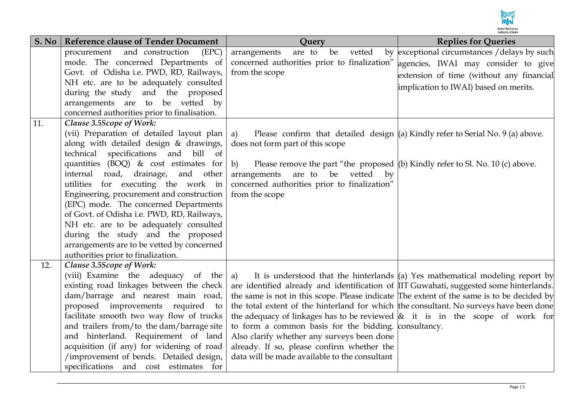

| S. No | <b>Reference clause of Tender Document</b>                                         | Query                                                                                            | <b>Replies for Queries</b>                                                        |
|-------|------------------------------------------------------------------------------------|--------------------------------------------------------------------------------------------------|-----------------------------------------------------------------------------------|
|       | and construction<br>procurement<br>(EPC)                                           | are to<br>vetted<br>arrangements<br>be                                                           | by exceptional circumstances / delays by such                                     |
|       | mode. The concerned Departments of                                                 | concerned authorities prior to finalization" agencies, IWAI may consider to give                 |                                                                                   |
|       | Govt. of Odisha i.e. PWD, RD, Railways,                                            | from the scope                                                                                   | extension of time (without any financial                                          |
|       | NH etc. are to be adequately consulted                                             |                                                                                                  | implication to IWAI) based on merits.                                             |
|       | during the study and the proposed                                                  |                                                                                                  |                                                                                   |
|       | arrangements are to be vetted by                                                   |                                                                                                  |                                                                                   |
|       | concerned authorities prior to finalisation.                                       |                                                                                                  |                                                                                   |
| 11.   | Clause 3.5Scope of Work:                                                           |                                                                                                  |                                                                                   |
|       | (vii) Preparation of detailed layout plan                                          | a)                                                                                               | Please confirm that detailed design $(a)$ Kindly refer to Serial No. 9 (a) above. |
|       | along with detailed design & drawings,                                             | does not form part of this scope                                                                 |                                                                                   |
|       | specifications and<br>technical<br>bill of                                         |                                                                                                  |                                                                                   |
|       | quantities (BOQ) $\&$ cost estimates for                                           | b)<br>Please remove the part "the proposed $($ b $)$ Kindly refer to Sl. No. 10 $($ c $)$ above. |                                                                                   |
|       | internal road, drainage, and other                                                 | arrangements are to be vetted<br>$_{\rm by}$                                                     |                                                                                   |
|       | utilities for executing the work in                                                | concerned authorities prior to finalization"                                                     |                                                                                   |
|       | Engineering, procurement and construction<br>(EPC) mode. The concerned Departments | from the scope                                                                                   |                                                                                   |
|       | of Govt. of Odisha i.e. PWD, RD, Railways,                                         |                                                                                                  |                                                                                   |
|       | NH etc. are to be adequately consulted                                             |                                                                                                  |                                                                                   |
|       | during the study and the proposed                                                  |                                                                                                  |                                                                                   |
|       | arrangements are to be vetted by concerned                                         |                                                                                                  |                                                                                   |
|       | authorities prior to finalization.                                                 |                                                                                                  |                                                                                   |
| 12.   | Clause 3.5Scope of Work:                                                           |                                                                                                  |                                                                                   |
|       | (viii) Examine the adequacy of the                                                 | a)                                                                                               | It is understood that the hinterlands $(a)$ Yes mathematical modeling report by   |
|       | existing road linkages between the check                                           | are identified already and identification of IIT Guwahati, suggested some hinterlands.           |                                                                                   |
|       | dam/barrage and nearest main road,                                                 | the same is not in this scope. Please indicate The extent of the same is to be decided by        |                                                                                   |
|       | proposed improvements required to                                                  | the total extent of the hinterland for which the consultant. No surveys have been done           |                                                                                   |
|       | facilitate smooth two way flow of trucks                                           | the adequacy of linkages has to be reviewed $\&$ it is in the scope of work for                  |                                                                                   |
|       | and trailers from/to the dam/barrage site                                          | to form a common basis for the bidding. consultancy.                                             |                                                                                   |
|       | and hinterland. Requirement of land                                                | Also clarify whether any surveys been done                                                       |                                                                                   |
|       | acquisition (if any) for widening of road                                          | already. If so, please confirm whether the                                                       |                                                                                   |
|       | /improvement of bends. Detailed design,                                            | data will be made available to the consultant                                                    |                                                                                   |
|       | specifications and cost estimates for                                              |                                                                                                  |                                                                                   |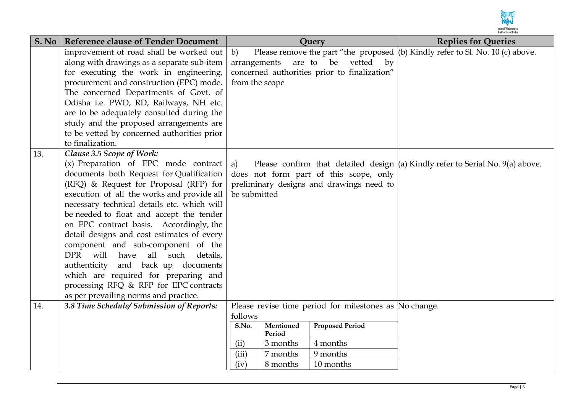

| S. No | <b>Reference clause of Tender Document</b>         | Query                                                                                    | <b>Replies for Queries</b>                                                       |
|-------|----------------------------------------------------|------------------------------------------------------------------------------------------|----------------------------------------------------------------------------------|
|       | improvement of road shall be worked out            | Please remove the part "the proposed $ $ (b) Kindly refer to Sl. No. 10 (c) above.<br>b) |                                                                                  |
|       | along with drawings as a separate sub-item         | be<br>vetted<br>are to<br>$\mathbf{b} \mathbf{v}$<br>arrangements                        |                                                                                  |
|       | for executing the work in engineering,             | concerned authorities prior to finalization"                                             |                                                                                  |
|       | procurement and construction (EPC) mode.           | from the scope                                                                           |                                                                                  |
|       | The concerned Departments of Govt. of              |                                                                                          |                                                                                  |
|       | Odisha i.e. PWD, RD, Railways, NH etc.             |                                                                                          |                                                                                  |
|       | are to be adequately consulted during the          |                                                                                          |                                                                                  |
|       | study and the proposed arrangements are            |                                                                                          |                                                                                  |
|       | to be vetted by concerned authorities prior        |                                                                                          |                                                                                  |
|       | to finalization.                                   |                                                                                          |                                                                                  |
| 13.   | Clause 3.5 Scope of Work:                          |                                                                                          |                                                                                  |
|       | $(x)$ Preparation of EPC mode contract             | a)                                                                                       | Please confirm that detailed design $(a)$ Kindly refer to Serial No. 9(a) above. |
|       | documents both Request for Qualification           | does not form part of this scope, only                                                   |                                                                                  |
|       | (RFQ) & Request for Proposal (RFP) for             | preliminary designs and drawings need to                                                 |                                                                                  |
|       | execution of all the works and provide all         | be submitted                                                                             |                                                                                  |
|       | necessary technical details etc. which will        |                                                                                          |                                                                                  |
|       | be needed to float and accept the tender           |                                                                                          |                                                                                  |
|       | on EPC contract basis. Accordingly, the            |                                                                                          |                                                                                  |
|       | detail designs and cost estimates of every         |                                                                                          |                                                                                  |
|       | component and sub-component of the                 |                                                                                          |                                                                                  |
|       | will<br>have<br>all such<br><b>DPR</b><br>details, |                                                                                          |                                                                                  |
|       | and back up documents<br>authenticity              |                                                                                          |                                                                                  |
|       | which are required for preparing and               |                                                                                          |                                                                                  |
|       | processing RFQ & RFP for EPC contracts             |                                                                                          |                                                                                  |
|       | as per prevailing norms and practice.              |                                                                                          |                                                                                  |
| 14.   | 3.8 Time Schedule/Submission of Reports:           | Please revise time period for milestones as No change.                                   |                                                                                  |
|       |                                                    | follows                                                                                  |                                                                                  |
|       |                                                    | <b>Proposed Period</b><br>S.No.<br>Mentioned<br>Period                                   |                                                                                  |
|       |                                                    | (ii)<br>4 months<br>3 months                                                             |                                                                                  |
|       |                                                    | 7 months<br>9 months<br>(iii)                                                            |                                                                                  |
|       |                                                    | 8 months<br>10 months<br>(iv)                                                            |                                                                                  |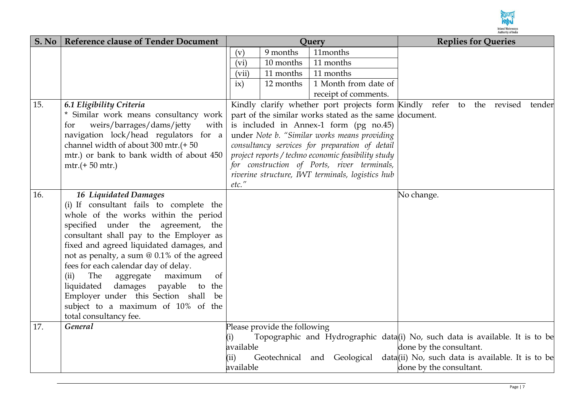

| S. No | <b>Reference clause of Tender Document</b>                       | Query     |                              |                                                        |                         | <b>Replies for Queries</b>                                                   |
|-------|------------------------------------------------------------------|-----------|------------------------------|--------------------------------------------------------|-------------------------|------------------------------------------------------------------------------|
|       |                                                                  | (v)       | 9 months                     | 11months                                               |                         |                                                                              |
|       |                                                                  | (vi)      | 10 months                    | 11 months                                              |                         |                                                                              |
|       |                                                                  | (vii)     | 11 months                    | 11 months                                              |                         |                                                                              |
|       |                                                                  | ix)       | 12 months                    | 1 Month from date of                                   |                         |                                                                              |
|       |                                                                  |           |                              | receipt of comments.                                   |                         |                                                                              |
| 15.   | 6.1 Eligibility Criteria                                         |           |                              |                                                        |                         | Kindly clarify whether port projects form Kindly refer to the revised tender |
|       | * Similar work means consultancy work                            |           |                              | part of the similar works stated as the same document. |                         |                                                                              |
|       | weirs/barrages/dams/jetty<br>with<br>for                         |           |                              | is included in Annex-1 form (pg no.45)                 |                         |                                                                              |
|       | navigation lock/head regulators for a                            |           |                              | under Note b. "Similar works means providing           |                         |                                                                              |
|       | channel width of about 300 mtr.(+50                              |           |                              | consultancy services for preparation of detail         |                         |                                                                              |
|       | mtr.) or bank to bank width of about 450                         |           |                              | project reports / techno economic feasibility study    |                         |                                                                              |
|       | $mtr.(+ 50 mtr.)$                                                |           |                              | for construction of Ports, river terminals,            |                         |                                                                              |
|       |                                                                  |           |                              | riverine structure, IWT terminals, logistics hub       |                         |                                                                              |
|       |                                                                  | etc."     |                              |                                                        |                         |                                                                              |
| 16.   | 16 Liquidated Damages<br>(i) If consultant fails to complete the |           |                              |                                                        | No change.              |                                                                              |
|       | whole of the works within the period                             |           |                              |                                                        |                         |                                                                              |
|       | specified under the agreement, the                               |           |                              |                                                        |                         |                                                                              |
|       | consultant shall pay to the Employer as                          |           |                              |                                                        |                         |                                                                              |
|       | fixed and agreed liquidated damages, and                         |           |                              |                                                        |                         |                                                                              |
|       | not as penalty, a sum @ 0.1% of the agreed                       |           |                              |                                                        |                         |                                                                              |
|       | fees for each calendar day of delay.                             |           |                              |                                                        |                         |                                                                              |
|       | The<br>aggregate<br>maximum<br>(ii)<br>of                        |           |                              |                                                        |                         |                                                                              |
|       | liquidated<br>damages<br>payable<br>to the                       |           |                              |                                                        |                         |                                                                              |
|       | Employer under this Section shall be                             |           |                              |                                                        |                         |                                                                              |
|       | subject to a maximum of 10% of the                               |           |                              |                                                        |                         |                                                                              |
|       | total consultancy fee.                                           |           |                              |                                                        |                         |                                                                              |
| 17.   | <b>General</b>                                                   |           | Please provide the following |                                                        |                         |                                                                              |
|       |                                                                  | (i)       |                              |                                                        |                         | Topographic and Hydrographic data(i) No, such data is available. It is to be |
|       |                                                                  | available |                              |                                                        | done by the consultant. |                                                                              |
|       |                                                                  | (ii)      |                              | Geotechnical and Geological                            |                         | data(ii) No, such data is available. It is to be                             |
|       |                                                                  | available |                              |                                                        | done by the consultant. |                                                                              |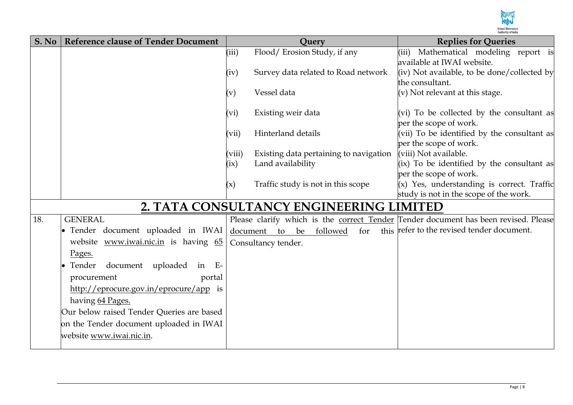

| S. No | <b>Reference clause of Tender Document</b>                                                                                                                                                                                                                                                                                                                |                | Query                                                                                                                                                                                                                                                         | <b>Replies for Queries</b>                                                                                                                                                                              |
|-------|-----------------------------------------------------------------------------------------------------------------------------------------------------------------------------------------------------------------------------------------------------------------------------------------------------------------------------------------------------------|----------------|---------------------------------------------------------------------------------------------------------------------------------------------------------------------------------------------------------------------------------------------------------------|---------------------------------------------------------------------------------------------------------------------------------------------------------------------------------------------------------|
|       |                                                                                                                                                                                                                                                                                                                                                           | (iii)          | Flood/Erosion Study, if any                                                                                                                                                                                                                                   | (iii) Mathematical modeling report is                                                                                                                                                                   |
|       |                                                                                                                                                                                                                                                                                                                                                           |                |                                                                                                                                                                                                                                                               | available at IWAI website.                                                                                                                                                                              |
|       |                                                                                                                                                                                                                                                                                                                                                           | (iv)           | Survey data related to Road network                                                                                                                                                                                                                           | (iv) Not available, to be done/collected by                                                                                                                                                             |
|       |                                                                                                                                                                                                                                                                                                                                                           |                | Vessel data                                                                                                                                                                                                                                                   | the consultant.<br>(v) Not relevant at this stage.                                                                                                                                                      |
|       |                                                                                                                                                                                                                                                                                                                                                           | $(\mathrm{v})$ |                                                                                                                                                                                                                                                               |                                                                                                                                                                                                         |
|       |                                                                                                                                                                                                                                                                                                                                                           | (vi)           | Existing weir data                                                                                                                                                                                                                                            | (vi) To be collected by the consultant as                                                                                                                                                               |
|       |                                                                                                                                                                                                                                                                                                                                                           |                |                                                                                                                                                                                                                                                               | per the scope of work.                                                                                                                                                                                  |
|       |                                                                                                                                                                                                                                                                                                                                                           | (vii)          | Hinterland details                                                                                                                                                                                                                                            | (vii) To be identified by the consultant as                                                                                                                                                             |
|       |                                                                                                                                                                                                                                                                                                                                                           |                |                                                                                                                                                                                                                                                               | per the scope of work.                                                                                                                                                                                  |
|       |                                                                                                                                                                                                                                                                                                                                                           | (viii)         | Existing data pertaining to navigation                                                                                                                                                                                                                        | (viii) Not available.                                                                                                                                                                                   |
|       |                                                                                                                                                                                                                                                                                                                                                           |                |                                                                                                                                                                                                                                                               |                                                                                                                                                                                                         |
|       |                                                                                                                                                                                                                                                                                                                                                           |                |                                                                                                                                                                                                                                                               |                                                                                                                                                                                                         |
|       |                                                                                                                                                                                                                                                                                                                                                           |                |                                                                                                                                                                                                                                                               |                                                                                                                                                                                                         |
|       |                                                                                                                                                                                                                                                                                                                                                           |                |                                                                                                                                                                                                                                                               |                                                                                                                                                                                                         |
|       |                                                                                                                                                                                                                                                                                                                                                           |                |                                                                                                                                                                                                                                                               |                                                                                                                                                                                                         |
|       |                                                                                                                                                                                                                                                                                                                                                           |                |                                                                                                                                                                                                                                                               |                                                                                                                                                                                                         |
|       |                                                                                                                                                                                                                                                                                                                                                           |                |                                                                                                                                                                                                                                                               |                                                                                                                                                                                                         |
|       |                                                                                                                                                                                                                                                                                                                                                           |                |                                                                                                                                                                                                                                                               |                                                                                                                                                                                                         |
|       |                                                                                                                                                                                                                                                                                                                                                           |                |                                                                                                                                                                                                                                                               |                                                                                                                                                                                                         |
|       |                                                                                                                                                                                                                                                                                                                                                           |                |                                                                                                                                                                                                                                                               |                                                                                                                                                                                                         |
|       |                                                                                                                                                                                                                                                                                                                                                           |                |                                                                                                                                                                                                                                                               |                                                                                                                                                                                                         |
|       |                                                                                                                                                                                                                                                                                                                                                           |                |                                                                                                                                                                                                                                                               |                                                                                                                                                                                                         |
|       |                                                                                                                                                                                                                                                                                                                                                           |                |                                                                                                                                                                                                                                                               |                                                                                                                                                                                                         |
|       |                                                                                                                                                                                                                                                                                                                                                           |                |                                                                                                                                                                                                                                                               |                                                                                                                                                                                                         |
|       |                                                                                                                                                                                                                                                                                                                                                           |                |                                                                                                                                                                                                                                                               |                                                                                                                                                                                                         |
|       |                                                                                                                                                                                                                                                                                                                                                           |                |                                                                                                                                                                                                                                                               |                                                                                                                                                                                                         |
| 18.   | <b>GENERAL</b><br>Tender document uploaded in IWAI<br>website www.iwai.nic.in is having 65<br>Pages.<br>document uploaded<br>Tender<br>in $E-$<br>procurement<br>portal<br>http://eprocure.gov.in/eprocure/app is<br>having 64 Pages.<br>Our below raised Tender Queries are based<br>on the Tender document uploaded in IWAI<br>website www.iwai.nic.in. | (ix)<br>(x)    | Land availability<br>Traffic study is not in this scope<br>2. TATA CONSULTANCY ENGINEERING LIMITED<br>Please clarify which is the correct Tender Tender document has been revised. Please<br>this<br>document to be<br>followed<br>for<br>Consultancy tender. | (ix) To be identified by the consultant as<br>per the scope of work.<br>$(x)$ Yes, understanding is correct. Traffic<br>study is not in the scope of the work.<br>refer to the revised tender document. |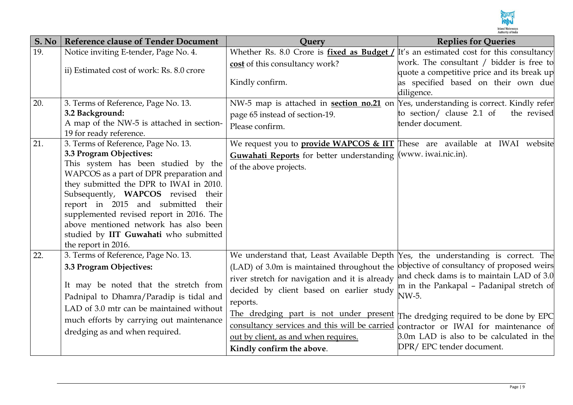

| S. No | <b>Reference clause of Tender Document</b>                                                                                                                                                                                                                                                                                                                                                                                      | <b>Ouery</b>                                                                                                                                                                                                                                                                                                                                                                                             | <b>Replies for Queries</b>                                                                                                                                                                                                                                                                               |
|-------|---------------------------------------------------------------------------------------------------------------------------------------------------------------------------------------------------------------------------------------------------------------------------------------------------------------------------------------------------------------------------------------------------------------------------------|----------------------------------------------------------------------------------------------------------------------------------------------------------------------------------------------------------------------------------------------------------------------------------------------------------------------------------------------------------------------------------------------------------|----------------------------------------------------------------------------------------------------------------------------------------------------------------------------------------------------------------------------------------------------------------------------------------------------------|
| 19.   | Notice inviting E-tender, Page No. 4.                                                                                                                                                                                                                                                                                                                                                                                           | Whether Rs. 8.0 Crore is fixed as Budget / $\mathbf{I}t$ 's an estimated cost for this consultancy                                                                                                                                                                                                                                                                                                       |                                                                                                                                                                                                                                                                                                          |
|       | ii) Estimated cost of work: Rs. 8.0 crore                                                                                                                                                                                                                                                                                                                                                                                       | cost of this consultancy work?<br>Kindly confirm.                                                                                                                                                                                                                                                                                                                                                        | work. The consultant / bidder is free to<br>quote a competitive price and its break up<br>as specified based on their own due<br>diligence.                                                                                                                                                              |
| 20.   | 3. Terms of Reference, Page No. 13.<br>3.2 Background:<br>A map of the NW-5 is attached in section-<br>19 for ready reference.                                                                                                                                                                                                                                                                                                  | NW-5 map is attached in <b>section no.21</b> on Yes, understanding is correct. Kindly refer<br>page 65 instead of section-19.<br>Please confirm.                                                                                                                                                                                                                                                         | to section/ clause 2.1 of<br>the revised<br>tender document.                                                                                                                                                                                                                                             |
| 21.   | 3. Terms of Reference, Page No. 13.<br>3.3 Program Objectives:<br>This system has been studied by the<br>WAPCOS as a part of DPR preparation and<br>they submitted the DPR to IWAI in 2010.<br>Subsequently, WAPCOS revised their<br>report in 2015 and submitted<br>their<br>supplemented revised report in 2016. The<br>above mentioned network has also been<br>studied by IIT Guwahati who submitted<br>the report in 2016. | We request you to <b>provide WAPCOS &amp; IIT</b> These are available at IWAI website<br>Guwahati Reports for better understanding (www. iwai.nic.in).<br>of the above projects.                                                                                                                                                                                                                         |                                                                                                                                                                                                                                                                                                          |
| 22.   | 3. Terms of Reference, Page No. 13.<br>3.3 Program Objectives:<br>It may be noted that the stretch from<br>Padnipal to Dhamra/Paradip is tidal and<br>LAD of 3.0 mtr can be maintained without<br>much efforts by carrying out maintenance<br>dredging as and when required.                                                                                                                                                    | We understand that, Least Available Depth Yes, the understanding is correct. The<br>(LAD) of 3.0m is maintained throughout the<br>river stretch for navigation and it is already<br>decided by client based on earlier study<br>reports.<br>The dredging part is not under present<br>consultancy services and this will be carried<br>out by client, as and when requires.<br>Kindly confirm the above. | objective of consultancy of proposed weirs<br>and check dams is to maintain LAD of 3.0<br>m in the Pankapal - Padanipal stretch of<br>NW-5.<br>The dredging required to be done by EPC<br>contractor or IWAI for maintenance of<br>3.0m LAD is also to be calculated in the<br>DPR/ EPC tender document. |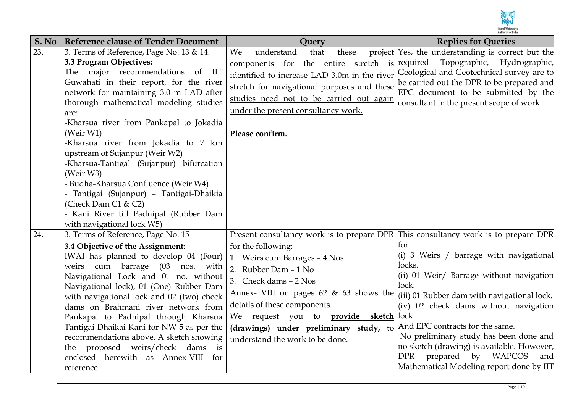

| S. No | <b>Reference clause of Tender Document</b>                                                                                                                                                                                                                                                                                                                                                                                                                                                                                                                                                                                                | Query                                                                                                                                                                                                                                                                                                                                                                                                                                                  | <b>Replies for Queries</b>                                                                                                                                                                                                                                                                                                                                       |
|-------|-------------------------------------------------------------------------------------------------------------------------------------------------------------------------------------------------------------------------------------------------------------------------------------------------------------------------------------------------------------------------------------------------------------------------------------------------------------------------------------------------------------------------------------------------------------------------------------------------------------------------------------------|--------------------------------------------------------------------------------------------------------------------------------------------------------------------------------------------------------------------------------------------------------------------------------------------------------------------------------------------------------------------------------------------------------------------------------------------------------|------------------------------------------------------------------------------------------------------------------------------------------------------------------------------------------------------------------------------------------------------------------------------------------------------------------------------------------------------------------|
| 23.   | 3. Terms of Reference, Page No. 13 & 14.<br>3.3 Program Objectives:<br><b>IIT</b><br>The major recommendations<br>of<br>Guwahati in their report, for the river<br>network for maintaining 3.0 m LAD after<br>thorough mathematical modeling studies<br>are:<br>-Kharsua river from Pankapal to Jokadia<br>(Weir W1)<br>-Kharsua river from Jokadia to 7 km<br>upstream of Sujanpur (Weir W2)<br>-Kharsua-Tantigal (Sujanpur) bifurcation<br>(Weir W3)<br>- Budha-Kharsua Confluence (Weir W4)<br>- Tantigai (Sujanpur) - Tantigai-Dhaikia<br>(Check Dam C1 & C2)<br>- Kani River till Padnipal (Rubber Dam<br>with navigational lock W5) | We<br>understand<br>that<br>these<br>components for the entire stretch is<br>identified to increase LAD 3.0m in the river<br>stretch for navigational purposes and these<br>studies need not to be carried out again<br>under the present consultancy work.<br>Please confirm.                                                                                                                                                                         | project Yes, the understanding is correct but the<br>Topographic, Hydrographic,<br>required<br>Geological and Geotechnical survey are to<br>be carried out the DPR to be prepared and<br>EPC document to be submitted by the<br>consultant in the present scope of work.                                                                                         |
| 24.   | 3. Terms of Reference, Page No. 15<br>3.4 Objective of the Assignment:<br>IWAI has planned to develop 04 (Four)<br>weirs cum barrage (03 nos. with<br>Navigational Lock and 01 no. without<br>Navigational lock), 01 (One) Rubber Dam<br>with navigational lock and 02 (two) check<br>dams on Brahmani river network from<br>Pankapal to Padnipal through Kharsua<br>Tantigai-Dhaikai-Kani for NW-5 as per the<br>recommendations above. A sketch showing<br>the proposed weirs/check dams<br>$\frac{1}{1}$<br>enclosed herewith as Annex-VIII for<br>reference.                                                                          | Present consultancy work is to prepare DPR This consultancy work is to prepare DPR<br>for the following:<br>1. Weirs cum Barrages - 4 Nos<br>2. Rubber Dam - 1 No<br>3. Check dams - 2 Nos<br>Annex- VIII on pages 62 & 63 shows the $\vert$ (iii) 01 Rubber dam with navigational lock.<br>details of these components.<br>We request you to <b>provide sketch</b> lock.<br>(drawings) under preliminary study, to<br>understand the work to be done. | tor<br>$(i)$ 3 Weirs / barrage with navigational<br>locks.<br>(ii) 01 Weir/ Barrage without navigation<br>lock.<br>(iv) 02 check dams without navigation<br>And EPC contracts for the same.<br>No preliminary study has been done and<br>no sketch (drawing) is available. However,<br>DPR prepared by WAPCOS<br>and<br>Mathematical Modeling report done by IIT |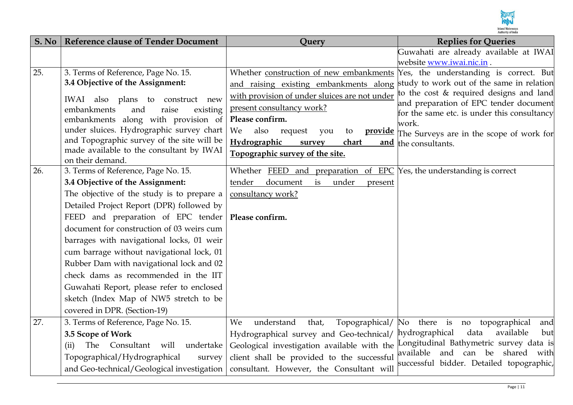

| S. No | <b>Reference clause of Tender Document</b> | Query                                                                                 | <b>Replies for Queries</b>                                                   |
|-------|--------------------------------------------|---------------------------------------------------------------------------------------|------------------------------------------------------------------------------|
|       |                                            |                                                                                       | Guwahati are already available at IWAI                                       |
|       |                                            |                                                                                       | website www.iwai.nic.in.                                                     |
| 25.   | 3. Terms of Reference, Page No. 15.        | Whether construction of new embankments Yes, the understanding is correct. But        |                                                                              |
|       | 3.4 Objective of the Assignment:           | and raising existing embankments along                                                | study to work out of the same in relation                                    |
|       | IWAI also plans to construct new           | with provision of under sluices are not under                                         | to the cost & required designs and land                                      |
|       | raise<br>embankments<br>and<br>existing    | present consultancy work?                                                             | and preparation of EPC tender document                                       |
|       | embankments along with provision of        | Please confirm.                                                                       | for the same etc. is under this consultancy<br>work.                         |
|       | under sluices. Hydrographic survey chart   | We<br>also<br>request<br>you<br>to<br><u>provide</u>                                  | The Surveys are in the scope of work for                                     |
|       | and Topographic survey of the site will be | Hydrographic<br>survey<br>chart<br>and                                                | the consultants.                                                             |
|       | made available to the consultant by IWAI   | Topographic survey of the site.                                                       |                                                                              |
|       | on their demand.                           |                                                                                       |                                                                              |
| 26.   | 3. Terms of Reference, Page No. 15.        | Whether FEED and preparation of EPC Yes, the understanding is correct                 |                                                                              |
|       | 3.4 Objective of the Assignment:           | tender<br>document<br>under<br>is<br>present                                          |                                                                              |
|       | The objective of the study is to prepare a | consultancy work?                                                                     |                                                                              |
|       | Detailed Project Report (DPR) followed by  |                                                                                       |                                                                              |
|       | FEED and preparation of EPC tender         | Please confirm.                                                                       |                                                                              |
|       | document for construction of 03 weirs cum  |                                                                                       |                                                                              |
|       | barrages with navigational locks, 01 weir  |                                                                                       |                                                                              |
|       | cum barrage without navigational lock, 01  |                                                                                       |                                                                              |
|       | Rubber Dam with navigational lock and 02   |                                                                                       |                                                                              |
|       | check dams as recommended in the IIT       |                                                                                       |                                                                              |
|       | Guwahati Report, please refer to enclosed  |                                                                                       |                                                                              |
|       | sketch (Index Map of NW5 stretch to be     |                                                                                       |                                                                              |
|       | covered in DPR. (Section-19)               |                                                                                       |                                                                              |
| 27.   | 3. Terms of Reference, Page No. 15.        | understand<br>that,<br>Topographical/<br>We                                           | No there is no<br>topographical<br>and                                       |
|       | 3.5 Scope of Work                          | Hydrographical survey and Geo-technical/                                              | data<br>available<br>hydrographical<br>but                                   |
|       | The<br>Consultant will undertake<br>(ii)   | Geological investigation available with the                                           | Longitudinal Bathymetric survey data is                                      |
|       | Topographical/Hydrographical<br>survey     | client shall be provided to the successful                                            | available and can be shared with<br>successful bidder. Detailed topographic, |
|       |                                            | and Geo-technical/Geological investigation   consultant. However, the Consultant will |                                                                              |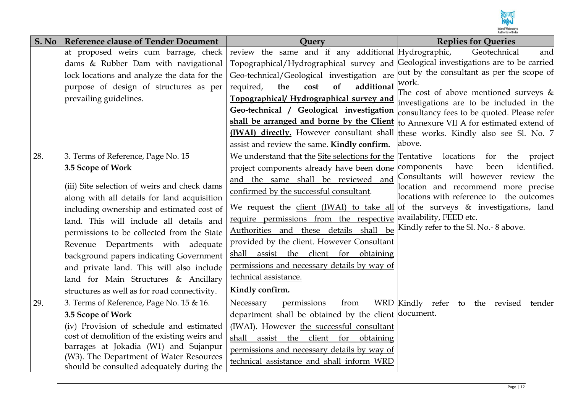

| S. No | <b>Reference clause of Tender Document</b>                                       | <b>Ouery</b>                                                                           | <b>Replies for Queries</b>                                                           |
|-------|----------------------------------------------------------------------------------|----------------------------------------------------------------------------------------|--------------------------------------------------------------------------------------|
|       | at proposed weirs cum barrage, check                                             | review the same and if any additional Hydrographic,                                    | Geotechnical<br>and                                                                  |
|       | dams & Rubber Dam with navigational                                              | Topographical/Hydrographical survey and                                                | Geological investigations are to be carried                                          |
|       | lock locations and analyze the data for the                                      | Geo-technical/Geological investigation are                                             | out by the consultant as per the scope of                                            |
|       | purpose of design of structures as per                                           | of<br>required,<br>the<br>additional<br>cost                                           | work.                                                                                |
|       | prevailing guidelines.                                                           | Topographical/ Hydrographical survey and                                               | The cost of above mentioned surveys $\&$<br>investigations are to be included in the |
|       |                                                                                  | Geo-technical / Geological investigation                                               | consultancy fees to be quoted. Please refer                                          |
|       |                                                                                  | shall be arranged and borne by the Client                                              | to Annexure VII A for estimated extend of                                            |
|       |                                                                                  | <b>IWAI) directly.</b> However consultant shall these works. Kindly also see Sl. No. 7 |                                                                                      |
|       |                                                                                  | assist and review the same. Kindly confirm.                                            | above.                                                                               |
| 28.   | 3. Terms of Reference, Page No. 15                                               | We understand that the Site selections for the                                         | Tentative<br>locations<br>for<br>the<br>project                                      |
|       | 3.5 Scope of Work                                                                | project components already have been done                                              | have<br>identified.<br>components<br>been                                            |
|       |                                                                                  | and the same shall be reviewed and                                                     | Consultants will however review the                                                  |
|       | (iii) Site selection of weirs and check dams                                     | confirmed by the successful consultant.                                                | location and recommend more precise<br>locations with reference to the outcomes      |
|       | along with all details for land acquisition                                      | We request the client (IWAI) to take all of the surveys & investigations, land         |                                                                                      |
|       | including ownership and estimated cost of                                        | require permissions from the respective availability, FEED etc.                        |                                                                                      |
|       | land. This will include all details and                                          | Authorities and these details shall be                                                 | Kindly refer to the Sl. No.- 8 above.                                                |
|       | permissions to be collected from the State                                       | provided by the client. However Consultant                                             |                                                                                      |
|       | Revenue Departments with adequate                                                | shall assist the client for obtaining                                                  |                                                                                      |
|       | background papers indicating Government                                          | permissions and necessary details by way of                                            |                                                                                      |
|       | and private land. This will also include                                         | technical assistance.                                                                  |                                                                                      |
|       | land for Main Structures & Ancillary                                             |                                                                                        |                                                                                      |
|       | structures as well as for road connectivity.                                     | Kindly confirm.                                                                        |                                                                                      |
| 29.   | 3. Terms of Reference, Page No. 15 & 16.                                         | permissions<br>Necessary<br>from                                                       | WRD Kindly refer to the revised tender                                               |
|       | 3.5 Scope of Work                                                                | department shall be obtained by the client document.                                   |                                                                                      |
|       | (iv) Provision of schedule and estimated                                         | (IWAI). However the successful consultant                                              |                                                                                      |
|       | cost of demolition of the existing weirs and                                     | shall<br>assist the client for obtaining                                               |                                                                                      |
|       | barrages at Jokadia (W1) and Sujanpur<br>(W3). The Department of Water Resources | permissions and necessary details by way of                                            |                                                                                      |
|       | should be consulted adequately during the                                        | technical assistance and shall inform WRD                                              |                                                                                      |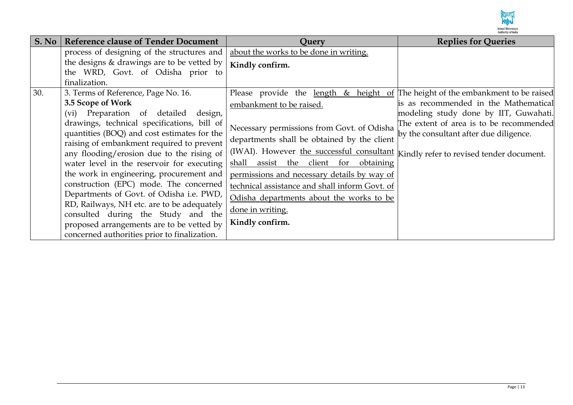

| S. No | <b>Reference clause of Tender Document</b>                                                                                                                                                                                                                                                                                                                                                                                                                                                                                | <b>Ouery</b>                                                                                                                                                                                                                                                                                                                                                                                                                                                                                                   | <b>Replies for Queries</b>                                                                                                                                          |
|-------|---------------------------------------------------------------------------------------------------------------------------------------------------------------------------------------------------------------------------------------------------------------------------------------------------------------------------------------------------------------------------------------------------------------------------------------------------------------------------------------------------------------------------|----------------------------------------------------------------------------------------------------------------------------------------------------------------------------------------------------------------------------------------------------------------------------------------------------------------------------------------------------------------------------------------------------------------------------------------------------------------------------------------------------------------|---------------------------------------------------------------------------------------------------------------------------------------------------------------------|
|       | process of designing of the structures and                                                                                                                                                                                                                                                                                                                                                                                                                                                                                | about the works to be done in writing.                                                                                                                                                                                                                                                                                                                                                                                                                                                                         |                                                                                                                                                                     |
|       | the designs $&$ drawings are to be vetted by<br>the WRD, Govt. of Odisha prior to                                                                                                                                                                                                                                                                                                                                                                                                                                         | Kindly confirm.                                                                                                                                                                                                                                                                                                                                                                                                                                                                                                |                                                                                                                                                                     |
|       | finalization.                                                                                                                                                                                                                                                                                                                                                                                                                                                                                                             |                                                                                                                                                                                                                                                                                                                                                                                                                                                                                                                |                                                                                                                                                                     |
| 30.   | 3. Terms of Reference, Page No. 16.<br>3.5 Scope of Work<br>(vi) Preparation of detailed<br>design,<br>drawings, technical specifications, bill of<br>quantities (BOQ) and cost estimates for the<br>raising of embankment required to prevent<br>any flooding/erosion due to the rising of<br>water level in the reservoir for executing<br>the work in engineering, procurement and<br>construction (EPC) mode. The concerned<br>Departments of Govt. of Odisha i.e. PWD,<br>RD, Railways, NH etc. are to be adequately | Please provide the length & height of The height of the embankment to be raised<br>embankment to be raised.<br>Necessary permissions from Govt. of Odisha<br>departments shall be obtained by the client<br>(IWAI). However the successful consultant Kindly refer to revised tender document.<br>assist the client for<br>obtaining<br>shall<br>permissions and necessary details by way of<br>technical assistance and shall inform Govt. of<br>Odisha departments about the works to be<br>done in writing. | is as recommended in the Mathematical<br>modeling study done by IIT, Guwahati.<br>The extent of area is to be recommended<br>by the consultant after due diligence. |
|       | consulted during the Study and the<br>proposed arrangements are to be vetted by<br>concerned authorities prior to finalization.                                                                                                                                                                                                                                                                                                                                                                                           | Kindly confirm.                                                                                                                                                                                                                                                                                                                                                                                                                                                                                                |                                                                                                                                                                     |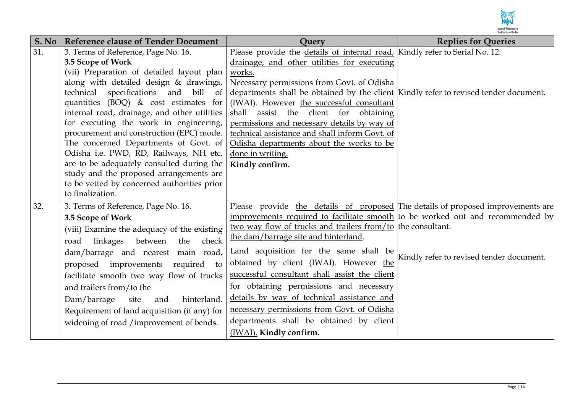

| S. No | <b>Reference clause of Tender Document</b>   | Ouerv                                                                                | <b>Replies for Queries</b>               |
|-------|----------------------------------------------|--------------------------------------------------------------------------------------|------------------------------------------|
| 31.   | 3. Terms of Reference, Page No. 16.          | Please provide the details of internal road, Kindly refer to Serial No. 12.          |                                          |
|       | 3.5 Scope of Work                            | drainage, and other utilities for executing                                          |                                          |
|       | (vii) Preparation of detailed layout plan    | works.                                                                               |                                          |
|       | along with detailed design & drawings,       | Necessary permissions from Govt. of Odisha                                           |                                          |
|       | technical specifications and<br>bill<br>of   | departments shall be obtained by the client Kindly refer to revised tender document. |                                          |
|       | quantities (BOQ) $\&$ cost estimates for     | (IWAI). However the successful consultant                                            |                                          |
|       | internal road, drainage, and other utilities | shall assist the client for obtaining                                                |                                          |
|       | for executing the work in engineering,       | permissions and necessary details by way of                                          |                                          |
|       | procurement and construction (EPC) mode.     | technical assistance and shall inform Govt. of                                       |                                          |
|       | The concerned Departments of Govt. of        | Odisha departments about the works to be                                             |                                          |
|       | Odisha i.e. PWD, RD, Railways, NH etc.       | done in writing.                                                                     |                                          |
|       | are to be adequately consulted during the    | Kindly confirm.                                                                      |                                          |
|       | study and the proposed arrangements are      |                                                                                      |                                          |
|       | to be vetted by concerned authorities prior  |                                                                                      |                                          |
|       | to finalization.                             |                                                                                      |                                          |
| 32.   | 3. Terms of Reference, Page No. 16.          | Please provide the details of proposed The details of proposed improvements are      |                                          |
|       | 3.5 Scope of Work                            | improvements required to facilitate smooth to be worked out and recommended by       |                                          |
|       | (viii) Examine the adequacy of the existing  | two way flow of trucks and trailers from/to the consultant.                          |                                          |
|       | between<br>road linkages<br>check<br>the     | the dam/barrage site and hinterland.                                                 |                                          |
|       | dam/barrage and nearest main road,           | Land acquisition for the same shall be                                               |                                          |
|       | proposed improvements required<br>to         | obtained by client (IWAI). However the                                               | Kindly refer to revised tender document. |
|       | facilitate smooth two way flow of trucks     | successful consultant shall assist the client                                        |                                          |
|       | and trailers from/to the                     | for obtaining permissions and necessary                                              |                                          |
|       | Dam/barrage<br>site<br>hinterland.<br>and    | details by way of technical assistance and                                           |                                          |
|       | Requirement of land acquisition (if any) for | necessary permissions from Govt. of Odisha                                           |                                          |
|       | widening of road /improvement of bends.      | departments shall be obtained by client                                              |                                          |
|       |                                              | (IWAI). Kindly confirm.                                                              |                                          |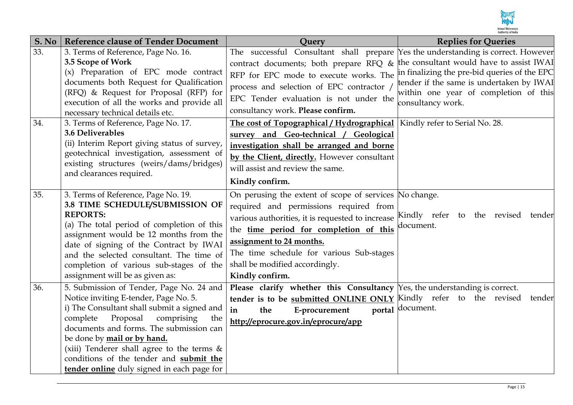

| S. No      | <b>Reference clause of Tender Document</b>                                                                                                                                                                                                                                                                                                                                                        | <b>Query</b>                                                                                                                                                                                                                                                                                                                                                                     | <b>Replies for Queries</b>                                                                                                                                                                         |
|------------|---------------------------------------------------------------------------------------------------------------------------------------------------------------------------------------------------------------------------------------------------------------------------------------------------------------------------------------------------------------------------------------------------|----------------------------------------------------------------------------------------------------------------------------------------------------------------------------------------------------------------------------------------------------------------------------------------------------------------------------------------------------------------------------------|----------------------------------------------------------------------------------------------------------------------------------------------------------------------------------------------------|
| 33.<br>34. | 3. Terms of Reference, Page No. 16.<br>3.5 Scope of Work<br>(x) Preparation of EPC mode contract<br>documents both Request for Qualification<br>(RFQ) & Request for Proposal (RFP) for<br>execution of all the works and provide all<br>necessary technical details etc.<br>3. Terms of Reference, Page No. 17.                                                                                   | The successful Consultant shall prepare Yes the understanding is correct. However<br>contract documents; both prepare RFQ &<br>RFP for EPC mode to execute works. The<br>process and selection of EPC contractor /<br>EPC Tender evaluation is not under the<br>consultancy work. Please confirm.<br>The cost of Topographical / Hydrographical   Kindly refer to Serial No. 28. | the consultant would have to assist IWAI<br>in finalizing the pre-bid queries of the EPC<br>tender if the same is undertaken by IWAI<br>within one year of completion of this<br>consultancy work. |
|            | 3.6 Deliverables<br>(ii) Interim Report giving status of survey,<br>geotechnical investigation, assessment of<br>existing structures (weirs/dams/bridges)<br>and clearances required.                                                                                                                                                                                                             | survey and Geo-technical / Geological<br>investigation shall be arranged and borne<br>by the Client, directly. However consultant<br>will assist and review the same.<br>Kindly confirm.                                                                                                                                                                                         |                                                                                                                                                                                                    |
| 35.        | 3. Terms of Reference, Page No. 19.<br>3.8 TIME SCHEDULE/SUBMISSION OF<br><b>REPORTS:</b><br>(a) The total period of completion of this<br>assignment would be 12 months from the<br>date of signing of the Contract by IWAI<br>and the selected consultant. The time of<br>completion of various sub-stages of the<br>assignment will be as given as:                                            | On perusing the extent of scope of services No change.<br>required and permissions required from<br>various authorities, it is requested to increase<br>the time period for completion of this<br>assignment to 24 months.<br>The time schedule for various Sub-stages<br>shall be modified accordingly.<br>Kindly confirm.                                                      | Kindly refer to the revised<br>tender<br>document.                                                                                                                                                 |
| 36.        | 5. Submission of Tender, Page No. 24 and<br>Notice inviting E-tender, Page No. 5.<br>i) The Consultant shall submit a signed and<br>Proposal<br>comprising<br>complete<br>the<br>documents and forms. The submission can<br>be done by mail or by hand.<br>(xiii) Tenderer shall agree to the terms $\&$<br>conditions of the tender and submit the<br>tender online duly signed in each page for | Please clarify whether this Consultancy Yes, the understanding is correct.<br>tender is to be <b>submitted ONLINE ONLY</b> Kindly refer to the revised<br>in<br>the<br>E-procurement<br>http://eprocure.gov.in/eprocure/app                                                                                                                                                      | tender<br>portal document.                                                                                                                                                                         |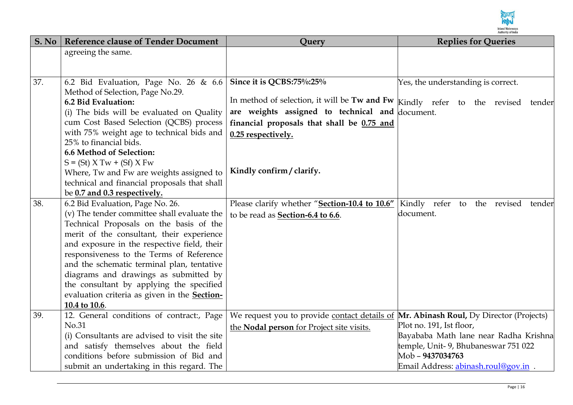

| S. No | <b>Reference clause of Tender Document</b>                              | Query                                                                                 | <b>Replies for Queries</b>            |
|-------|-------------------------------------------------------------------------|---------------------------------------------------------------------------------------|---------------------------------------|
|       | agreeing the same.                                                      |                                                                                       |                                       |
|       |                                                                         |                                                                                       |                                       |
|       |                                                                         |                                                                                       |                                       |
| 37.   | 6.2 Bid Evaluation, Page No. 26 & 6.6                                   | Since it is QCBS:75%:25%                                                              | Yes, the understanding is correct.    |
|       | Method of Selection, Page No.29.                                        |                                                                                       |                                       |
|       | 6.2 Bid Evaluation:                                                     |                                                                                       |                                       |
|       | (i) The bids will be evaluated on Quality                               | are weights assigned to technical and document.                                       |                                       |
|       | cum Cost Based Selection (QCBS) process                                 | financial proposals that shall be 0.75 and                                            |                                       |
|       | with 75% weight age to technical bids and                               | 0.25 respectively.                                                                    |                                       |
|       | 25% to financial bids.<br>6.6 Method of Selection:                      |                                                                                       |                                       |
|       |                                                                         |                                                                                       |                                       |
|       | $S = (St) X Tw + (Sf) X Fw$<br>Where, Tw and Fw are weights assigned to | Kindly confirm / clarify.                                                             |                                       |
|       | technical and financial proposals that shall                            |                                                                                       |                                       |
|       | be 0.7 and 0.3 respectively.                                            |                                                                                       |                                       |
| 38.   | 6.2 Bid Evaluation, Page No. 26.                                        | Please clarify whether "Section-10.4 to 10.6"                                         | Kindly refer to the revised<br>tender |
|       | (v) The tender committee shall evaluate the                             | to be read as Section-6.4 to 6.6.                                                     | document.                             |
|       | Technical Proposals on the basis of the                                 |                                                                                       |                                       |
|       | merit of the consultant, their experience                               |                                                                                       |                                       |
|       | and exposure in the respective field, their                             |                                                                                       |                                       |
|       | responsiveness to the Terms of Reference                                |                                                                                       |                                       |
|       | and the schematic terminal plan, tentative                              |                                                                                       |                                       |
|       | diagrams and drawings as submitted by                                   |                                                                                       |                                       |
|       | the consultant by applying the specified                                |                                                                                       |                                       |
|       | evaluation criteria as given in the <b>Section-</b>                     |                                                                                       |                                       |
|       | 10.4 to 10.6.                                                           |                                                                                       |                                       |
| 39.   | 12. General conditions of contract:, Page                               | We request you to provide contact details of Mr. Abinash Roul, Dy Director (Projects) |                                       |
|       | No.31                                                                   | the Nodal person for Project site visits.                                             | Plot no. 191, Ist floor,              |
|       | (i) Consultants are advised to visit the site                           |                                                                                       | Bayababa Math lane near Radha Krishna |
|       | and satisfy themselves about the field                                  |                                                                                       | temple, Unit- 9, Bhubaneswar 751 022  |
|       | conditions before submission of Bid and                                 |                                                                                       | Mob - 9437034763                      |
|       | submit an undertaking in this regard. The                               |                                                                                       | Email Address: abinash.roul@gov.in .  |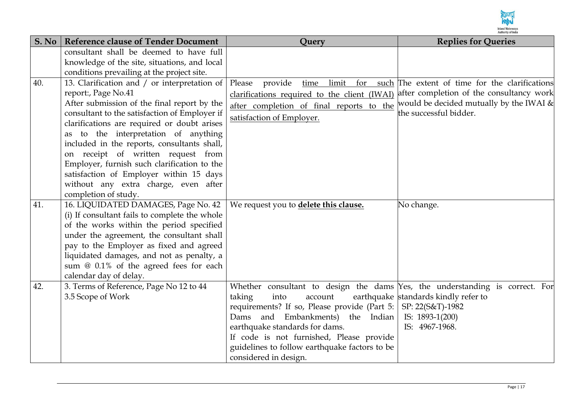

| S. No | <b>Reference clause of Tender Document</b>                                       | Query                                                                        | <b>Replies for Queries</b>                     |
|-------|----------------------------------------------------------------------------------|------------------------------------------------------------------------------|------------------------------------------------|
|       | consultant shall be deemed to have full                                          |                                                                              |                                                |
|       | knowledge of the site, situations, and local                                     |                                                                              |                                                |
|       | conditions prevailing at the project site.                                       |                                                                              |                                                |
| 40.   | 13. Clarification and / or interpretation of                                     | limit<br>Please<br>provide<br>for<br>time                                    | such The extent of time for the clarifications |
|       | report:, Page No.41                                                              | clarifications required to the client (IWAI)                                 | after completion of the consultancy work       |
|       | After submission of the final report by the                                      | after completion of final reports to the                                     | would be decided mutually by the IWAI $\&$     |
|       | consultant to the satisfaction of Employer if                                    | satisfaction of Employer.                                                    | the successful bidder.                         |
|       | clarifications are required or doubt arises<br>to the interpretation of anything |                                                                              |                                                |
|       | as<br>included in the reports, consultants shall,                                |                                                                              |                                                |
|       | on receipt of written request from                                               |                                                                              |                                                |
|       | Employer, furnish such clarification to the                                      |                                                                              |                                                |
|       | satisfaction of Employer within 15 days                                          |                                                                              |                                                |
|       | without any extra charge, even after                                             |                                                                              |                                                |
|       | completion of study.                                                             |                                                                              |                                                |
| 41.   | 16. LIQUIDATED DAMAGES, Page No. 42                                              | We request you to delete this clause.                                        | No change.                                     |
|       | (i) If consultant fails to complete the whole                                    |                                                                              |                                                |
|       | of the works within the period specified                                         |                                                                              |                                                |
|       | under the agreement, the consultant shall                                        |                                                                              |                                                |
|       | pay to the Employer as fixed and agreed                                          |                                                                              |                                                |
|       | liquidated damages, and not as penalty, a                                        |                                                                              |                                                |
|       | sum @ 0.1% of the agreed fees for each<br>calendar day of delay.                 |                                                                              |                                                |
| 42.   | 3. Terms of Reference, Page No 12 to 44                                          | Whether consultant to design the dams Yes, the understanding is correct. For |                                                |
|       | 3.5 Scope of Work                                                                | taking<br>into<br>account                                                    | earthquake standards kindly refer to           |
|       |                                                                                  | requirements? If so, Please provide (Part 5:                                 | SP: 22(S&T)-1982                               |
|       |                                                                                  | and Embankments) the Indian<br>Dams                                          | IS: 1893-1(200)                                |
|       |                                                                                  | earthquake standards for dams.                                               | IS: 4967-1968.                                 |
|       |                                                                                  | If code is not furnished, Please provide                                     |                                                |
|       |                                                                                  | guidelines to follow earthquake factors to be                                |                                                |
|       |                                                                                  | considered in design.                                                        |                                                |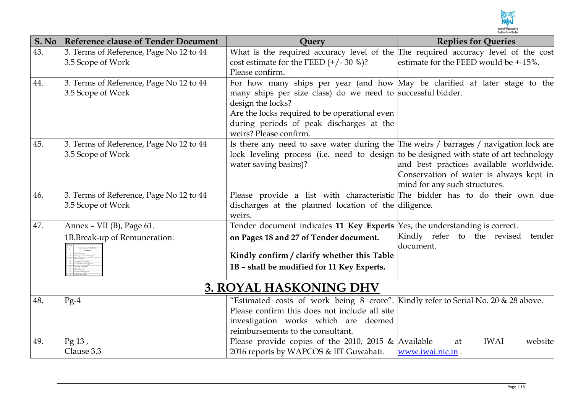

| S. No | <b>Reference clause of Tender Document</b> | Query                                                                                  | <b>Replies for Queries</b>                                               |
|-------|--------------------------------------------|----------------------------------------------------------------------------------------|--------------------------------------------------------------------------|
| 43.   | 3. Terms of Reference, Page No 12 to 44    | What is the required accuracy level of the The required accuracy level of the cost     |                                                                          |
|       | 3.5 Scope of Work                          | cost estimate for the FEED $(+/-30\%)$ ?                                               | estimate for the FEED would be +-15%.                                    |
|       |                                            | Please confirm.                                                                        |                                                                          |
| 44.   | 3. Terms of Reference, Page No 12 to 44    | For how many ships per year (and how May be clarified at later stage to the            |                                                                          |
|       | 3.5 Scope of Work                          | many ships per size class) do we need to successful bidder.                            |                                                                          |
|       |                                            | design the locks?                                                                      |                                                                          |
|       |                                            | Are the locks required to be operational even                                          |                                                                          |
|       |                                            | during periods of peak discharges at the                                               |                                                                          |
|       |                                            | weirs? Please confirm.                                                                 |                                                                          |
| 45.   | 3. Terms of Reference, Page No 12 to 44    | Is there any need to save water during the The weirs / barrages / navigation lock are  |                                                                          |
|       | 3.5 Scope of Work                          | lock leveling process (i.e. need to design to be designed with state of art technology |                                                                          |
|       |                                            | water saving basins)?                                                                  | and best practices available worldwide.                                  |
|       |                                            |                                                                                        | Conservation of water is always kept in<br>mind for any such structures. |
| 46.   | 3. Terms of Reference, Page No 12 to 44    | Please provide a list with characteristic The bidder has to do their own due           |                                                                          |
|       | 3.5 Scope of Work                          | discharges at the planned location of the diligence.                                   |                                                                          |
|       |                                            | weirs.                                                                                 |                                                                          |
| 47.   | Annex - VII (B), Page 61.                  | Tender document indicates 11 Key Experts $\gamma$ es, the understanding is correct.    |                                                                          |
|       | 1B.Break-up of Remuneration:               | on Pages 18 and 27 of Tender document.                                                 | Kindly refer to the revised<br>tender                                    |
|       |                                            |                                                                                        | document.                                                                |
|       |                                            | Kindly confirm / clarify whether this Table                                            |                                                                          |
|       |                                            | 1B - shall be modified for 11 Key Experts.                                             |                                                                          |
|       |                                            |                                                                                        |                                                                          |
|       |                                            | <b>3. ROYAL HASKONING DHV</b>                                                          |                                                                          |
| 48.   | $Pg-4$                                     | "Estimated costs of work being 8 crore". Kindly refer to Serial No. 20 & 28 above.     |                                                                          |
|       |                                            | Please confirm this does not include all site                                          |                                                                          |
|       |                                            | investigation works which are deemed                                                   |                                                                          |
|       |                                            | reimbursements to the consultant.                                                      |                                                                          |
| 49.   | $Pg$ 13,                                   | Please provide copies of the 2010, 2015 $\&$ Available                                 | <b>IWAI</b><br>website<br>at                                             |
|       | Clause 3.3                                 | 2016 reports by WAPCOS & IIT Guwahati.                                                 | www.iwai.nic.in.                                                         |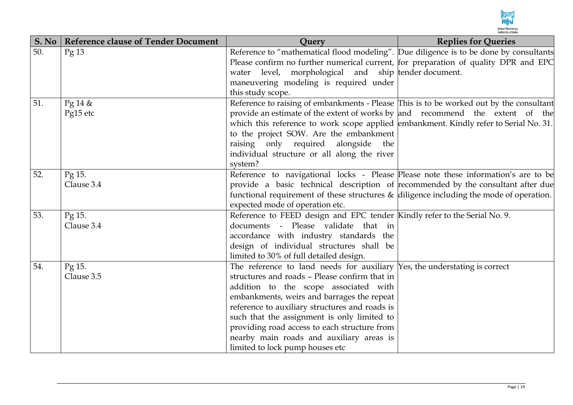

| S. No | <b>Reference clause of Tender Document</b> | <b>Ouery</b>                                                                                                          | <b>Replies for Queries</b> |
|-------|--------------------------------------------|-----------------------------------------------------------------------------------------------------------------------|----------------------------|
| 50.   | $\text{Pg}$ 13                             | Reference to "mathematical flood modeling". Due diligence is to be done by consultants                                |                            |
|       |                                            | Please confirm no further numerical current, for preparation of quality DPR and EPC                                   |                            |
|       |                                            | water level, morphological and ship tender document.                                                                  |                            |
|       |                                            | maneuvering modeling is required under                                                                                |                            |
|       |                                            | this study scope.                                                                                                     |                            |
| 51.   | Pg 14 &                                    | Reference to raising of embankments - Please This is to be worked out by the consultant                               |                            |
|       | Pg15 etc                                   | provide an estimate of the extent of works by and recommend the extent of the                                         |                            |
|       |                                            | which this reference to work scope applied embankment. Kindly refer to Serial No. 31.                                 |                            |
|       |                                            | to the project SOW. Are the embankment                                                                                |                            |
|       |                                            | raising only required alongside<br>the                                                                                |                            |
|       |                                            | individual structure or all along the river                                                                           |                            |
|       |                                            | system?                                                                                                               |                            |
| 52.   | Pg 15.                                     | Reference to navigational locks - Please Please note these information's are to be                                    |                            |
|       | Clause 3.4                                 | provide a basic technical description of recommended by the consultant after due                                      |                            |
|       |                                            | functional requirement of these structures $\&$ diligence including the mode of operation.                            |                            |
|       |                                            | expected mode of operation etc.                                                                                       |                            |
| 53.   | Pg 15.                                     | Reference to FEED design and EPC tender Kindly refer to the Serial No. 9.                                             |                            |
|       | Clause 3.4                                 | documents - Please validate that in                                                                                   |                            |
|       |                                            | accordance with industry standards the                                                                                |                            |
|       |                                            | design of individual structures shall be                                                                              |                            |
| 54.   | Pg 15.                                     | limited to 30% of full detailed design.<br>The reference to land needs for auxiliary Yes, the understating is correct |                            |
|       | Clause 3.5                                 | structures and roads - Please confirm that in                                                                         |                            |
|       |                                            | addition to the scope associated with                                                                                 |                            |
|       |                                            | embankments, weirs and barrages the repeat                                                                            |                            |
|       |                                            | reference to auxiliary structures and roads is                                                                        |                            |
|       |                                            | such that the assignment is only limited to                                                                           |                            |
|       |                                            | providing road access to each structure from                                                                          |                            |
|       |                                            | nearby main roads and auxiliary areas is                                                                              |                            |
|       |                                            | limited to lock pump houses etc                                                                                       |                            |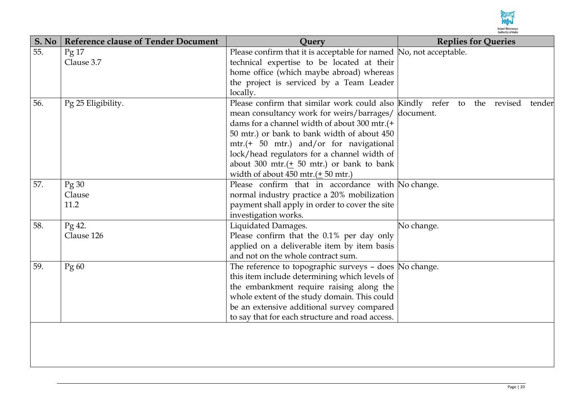

| S. No | <b>Reference clause of Tender Document</b> | Query                                                                   | <b>Replies for Queries</b> |
|-------|--------------------------------------------|-------------------------------------------------------------------------|----------------------------|
| 55.   | Pg <sub>17</sub>                           | Please confirm that it is acceptable for named No, not acceptable.      |                            |
|       | Clause 3.7                                 | technical expertise to be located at their                              |                            |
|       |                                            | home office (which maybe abroad) whereas                                |                            |
|       |                                            | the project is serviced by a Team Leader                                |                            |
|       |                                            | locally.                                                                |                            |
| 56.   | Pg 25 Eligibility.                         | Please confirm that similar work could also Kindly refer to the revised | tender                     |
|       |                                            | mean consultancy work for weirs/barrages/                               | document.                  |
|       |                                            | dams for a channel width of about 300 mtr.(+                            |                            |
|       |                                            | 50 mtr.) or bank to bank width of about 450                             |                            |
|       |                                            | mtr.(+ 50 mtr.) and/or for navigational                                 |                            |
|       |                                            | lock/head regulators for a channel width of                             |                            |
|       |                                            | about 300 mtr.( $\pm$ 50 mtr.) or bank to bank                          |                            |
|       |                                            | width of about 450 mtr.( $\pm$ 50 mtr.)                                 |                            |
| 57.   | Pg30                                       | Please confirm that in accordance with No change.                       |                            |
|       | Clause                                     | normal industry practice a 20% mobilization                             |                            |
|       | 11.2                                       | payment shall apply in order to cover the site                          |                            |
|       |                                            | investigation works.                                                    |                            |
| 58.   | Pg 42.                                     | Liquidated Damages.                                                     | No change.                 |
|       | Clause 126                                 | Please confirm that the 0.1% per day only                               |                            |
|       |                                            | applied on a deliverable item by item basis                             |                            |
|       |                                            | and not on the whole contract sum.                                      |                            |
| 59.   | Pg 60                                      | The reference to topographic surveys - does $\vert$ No change.          |                            |
|       |                                            | this item include determining which levels of                           |                            |
|       |                                            | the embankment require raising along the                                |                            |
|       |                                            | whole extent of the study domain. This could                            |                            |
|       |                                            | be an extensive additional survey compared                              |                            |
|       |                                            | to say that for each structure and road access.                         |                            |
|       |                                            |                                                                         |                            |
|       |                                            |                                                                         |                            |
|       |                                            |                                                                         |                            |
|       |                                            |                                                                         |                            |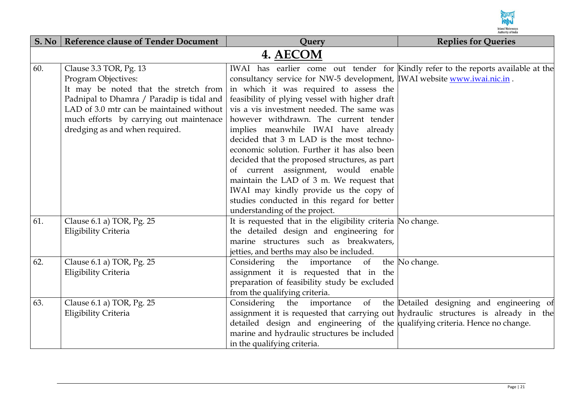

| S. No | <b>Reference clause of Tender Document</b>                                                                                                                                                                                                                   | Query                                                                                                                                                                                                                                                                                                                                                                                                                                                                                                                                                                                                                                                                                                                                         | <b>Replies for Queries</b> |
|-------|--------------------------------------------------------------------------------------------------------------------------------------------------------------------------------------------------------------------------------------------------------------|-----------------------------------------------------------------------------------------------------------------------------------------------------------------------------------------------------------------------------------------------------------------------------------------------------------------------------------------------------------------------------------------------------------------------------------------------------------------------------------------------------------------------------------------------------------------------------------------------------------------------------------------------------------------------------------------------------------------------------------------------|----------------------------|
|       |                                                                                                                                                                                                                                                              | 4. AECOM                                                                                                                                                                                                                                                                                                                                                                                                                                                                                                                                                                                                                                                                                                                                      |                            |
| 60.   | Clause 3.3 TOR, Pg. 13<br>Program Objectives:<br>It may be noted that the stretch from<br>Padnipal to Dhamra / Paradip is tidal and<br>LAD of 3.0 mtr can be maintained without<br>much efforts by carrying out maintenace<br>dredging as and when required. | IWAI has earlier come out tender for Kindly refer to the reports available at the<br>consultancy service for NW-5 development, WAI website www.iwai.nic.in.<br>in which it was required to assess the<br>feasibility of plying vessel with higher draft<br>vis a vis investment needed. The same was<br>however withdrawn. The current tender<br>implies meanwhile IWAI have already<br>decided that 3 m LAD is the most techno-<br>economic solution. Further it has also been<br>decided that the proposed structures, as part<br>of current assignment, would enable<br>maintain the LAD of 3 m. We request that<br>IWAI may kindly provide us the copy of<br>studies conducted in this regard for better<br>understanding of the project. |                            |
| 61.   | Clause 6.1 a) TOR, Pg. 25<br>Eligibility Criteria                                                                                                                                                                                                            | It is requested that in the eligibility criteria No change.<br>the detailed design and engineering for<br>marine structures such as breakwaters,<br>jetties, and berths may also be included.                                                                                                                                                                                                                                                                                                                                                                                                                                                                                                                                                 |                            |
| 62.   | Clause 6.1 a) TOR, Pg. 25<br>Eligibility Criteria                                                                                                                                                                                                            | Considering the importance of the No change.<br>assignment it is requested that in the<br>preparation of feasibility study be excluded<br>from the qualifying criteria.                                                                                                                                                                                                                                                                                                                                                                                                                                                                                                                                                                       |                            |
| 63.   | Clause 6.1 a) TOR, Pg. 25<br>Eligibility Criteria                                                                                                                                                                                                            | Considering the importance of the Detailed designing and engineering of<br>assignment it is requested that carrying out hydraulic structures is already in the<br>detailed design and engineering of the qualifying criteria. Hence no change.<br>marine and hydraulic structures be included<br>in the qualifying criteria.                                                                                                                                                                                                                                                                                                                                                                                                                  |                            |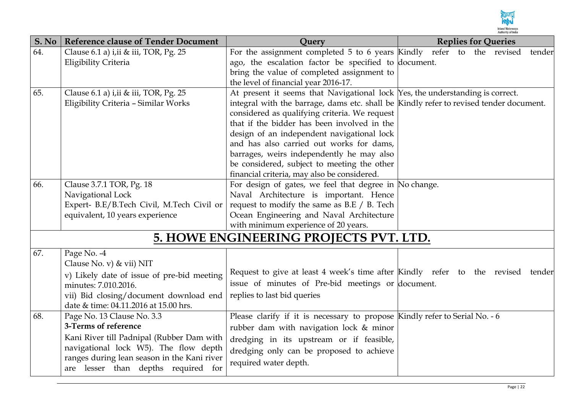

| S. No | <b>Reference clause of Tender Document</b>    | Ouery                                                                                                 | <b>Replies for Queries</b> |
|-------|-----------------------------------------------|-------------------------------------------------------------------------------------------------------|----------------------------|
| 64.   | Clause 6.1 a) i, ii & iii, TOR, Pg. 25        | For the assignment completed 5 to 6 years Kindly refer to the revised                                 | tender                     |
|       | Eligibility Criteria                          | ago, the escalation factor be specified to document.                                                  |                            |
|       |                                               | bring the value of completed assignment to                                                            |                            |
|       |                                               | the level of financial year 2016-17.                                                                  |                            |
| 65.   | Clause 6.1 a) i, ii & iii, TOR, Pg. 25        | At present it seems that Navigational lock Yes, the understanding is correct.                         |                            |
|       | Eligibility Criteria - Similar Works          | integral with the barrage, dams etc. shall be Kindly refer to revised tender document.                |                            |
|       |                                               | considered as qualifying criteria. We request                                                         |                            |
|       |                                               | that if the bidder has been involved in the                                                           |                            |
|       |                                               | design of an independent navigational lock                                                            |                            |
|       |                                               | and has also carried out works for dams,                                                              |                            |
|       |                                               | barrages, weirs independently he may also                                                             |                            |
|       |                                               | be considered, subject to meeting the other                                                           |                            |
| 66.   |                                               | financial criteria, may also be considered.<br>For design of gates, we feel that degree in No change. |                            |
|       | Clause 3.7.1 TOR, Pg. 18<br>Navigational Lock | Naval Architecture is important. Hence                                                                |                            |
|       | Expert- B.E/B.Tech Civil, M.Tech Civil or     | request to modify the same as B.E / B. Tech                                                           |                            |
|       | equivalent, 10 years experience               | Ocean Engineering and Naval Architecture                                                              |                            |
|       |                                               | with minimum experience of 20 years.                                                                  |                            |
|       |                                               | 5. HOWE ENGINEERING PROJECTS PVT. LTD.                                                                |                            |
|       |                                               |                                                                                                       |                            |
| 67.   | Page No. -4                                   |                                                                                                       |                            |
|       | Clause No. v) & vii) NIT                      |                                                                                                       |                            |
|       | v) Likely date of issue of pre-bid meeting    | Request to give at least 4 week's time after Kindly refer to the revised tender                       |                            |
|       | minutes: 7.010.2016.                          | issue of minutes of Pre-bid meetings or document.                                                     |                            |
|       | vii) Bid closing/document download end        | replies to last bid queries                                                                           |                            |
|       | date & time: 04.11.2016 at 15.00 hrs.         |                                                                                                       |                            |
| 68.   | Page No. 13 Clause No. 3.3                    | Please clarify if it is necessary to propose Kindly refer to Serial No. - 6                           |                            |
|       | 3-Terms of reference                          | rubber dam with navigation lock & minor                                                               |                            |
|       | Kani River till Padnipal (Rubber Dam with     | dredging in its upstream or if feasible,                                                              |                            |
|       | navigational lock W5). The flow depth         | dredging only can be proposed to achieve                                                              |                            |
|       | ranges during lean season in the Kani river   | required water depth.                                                                                 |                            |
|       | are lesser than depths required for           |                                                                                                       |                            |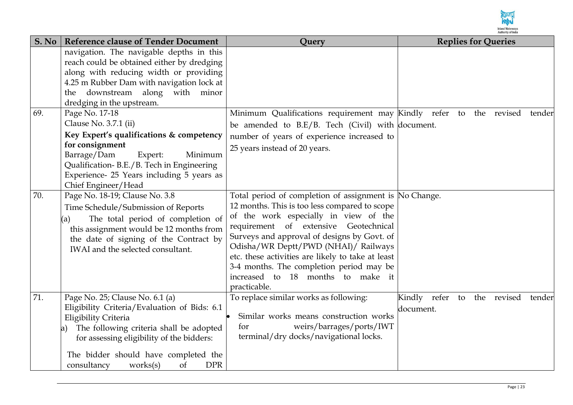

| S. No | <b>Reference clause of Tender Document</b>                                                                                                                                                                                                                                                   | Query                                                                                                                                                                                                                                                                                                                                                                                                                                  | <b>Replies for Queries</b>                               |
|-------|----------------------------------------------------------------------------------------------------------------------------------------------------------------------------------------------------------------------------------------------------------------------------------------------|----------------------------------------------------------------------------------------------------------------------------------------------------------------------------------------------------------------------------------------------------------------------------------------------------------------------------------------------------------------------------------------------------------------------------------------|----------------------------------------------------------|
|       | navigation. The navigable depths in this<br>reach could be obtained either by dredging<br>along with reducing width or providing<br>4.25 m Rubber Dam with navigation lock at<br>the downstream along with minor<br>dredging in the upstream.                                                |                                                                                                                                                                                                                                                                                                                                                                                                                                        |                                                          |
| 69.   | Page No. 17-18<br>Clause No. 3.7.1 (ii)<br>Key Expert's qualifications & competency<br>for consignment<br>Barrage/Dam<br>Expert:<br>Minimum<br>Qualification-B.E./B. Tech in Engineering<br>Experience- 25 Years including 5 years as<br>Chief Engineer/Head                                 | Minimum Qualifications requirement may Kindly refer to the revised<br>be amended to $B.E/B$ . Tech (Civil) with document.<br>number of years of experience increased to<br>25 years instead of 20 years.                                                                                                                                                                                                                               | tender                                                   |
| 70.   | Page No. 18-19; Clause No. 3.8<br>Time Schedule/Submission of Reports<br>The total period of completion of<br>(a)<br>this assignment would be 12 months from<br>the date of signing of the Contract by<br>IWAI and the selected consultant.                                                  | Total period of completion of assignment is No Change.<br>12 months. This is too less compared to scope<br>of the work especially in view of the<br>requirement of extensive Geotechnical<br>Surveys and approval of designs by Govt. of<br>Odisha/WR Deptt/PWD (NHAI)/ Railways<br>etc. these activities are likely to take at least<br>3-4 months. The completion period may be<br>increased to 18 months to make it<br>practicable. |                                                          |
| 71.   | Page No. 25; Clause No. 6.1 (a)<br>Eligibility Criteria/Evaluation of Bids: 6.1<br>Eligibility Criteria<br>The following criteria shall be adopted<br>a)<br>for assessing eligibility of the bidders:<br>The bidder should have completed the<br><b>DPR</b><br>consultancy<br>works(s)<br>of | To replace similar works as following:<br>Similar works means construction works<br>weirs/barrages/ports/IWT<br>for<br>terminal/dry docks/navigational locks.                                                                                                                                                                                                                                                                          | Kindly refer<br>the revised<br>to<br>tender<br>document. |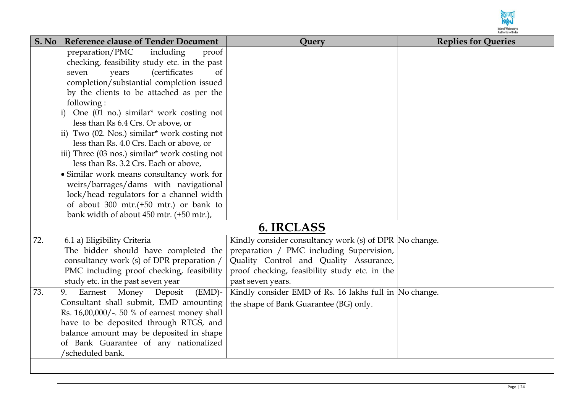

| S. No | <b>Reference clause of Tender Document</b>                                           | Query                                                  | <b>Replies for Queries</b> |
|-------|--------------------------------------------------------------------------------------|--------------------------------------------------------|----------------------------|
|       | preparation/PMC<br>including<br>proof                                                |                                                        |                            |
|       | checking, feasibility study etc. in the past                                         |                                                        |                            |
|       | <i>(certificates)</i><br>of<br>years<br>seven                                        |                                                        |                            |
|       | completion/substantial completion issued                                             |                                                        |                            |
|       | by the clients to be attached as per the                                             |                                                        |                            |
|       | following:                                                                           |                                                        |                            |
|       | One (01 no.) similar* work costing not                                               |                                                        |                            |
|       | less than Rs 6.4 Crs. Or above, or                                                   |                                                        |                            |
|       | ii) Two (02. Nos.) similar* work costing not                                         |                                                        |                            |
|       | less than Rs. 4.0 Crs. Each or above, or                                             |                                                        |                            |
|       | iii) Three (03 nos.) similar* work costing not                                       |                                                        |                            |
|       | less than Rs. 3.2 Crs. Each or above,                                                |                                                        |                            |
|       | • Similar work means consultancy work for                                            |                                                        |                            |
|       | weirs/barrages/dams with navigational                                                |                                                        |                            |
|       | lock/head regulators for a channel width                                             |                                                        |                            |
|       | of about $300$ mtr.(+50 mtr.) or bank to<br>bank width of about 450 mtr. (+50 mtr.), |                                                        |                            |
|       |                                                                                      |                                                        |                            |
|       |                                                                                      | 6. IRCLASS                                             |                            |
| 72.   | 6.1 a) Eligibility Criteria                                                          | Kindly consider consultancy work (s) of DPR No change. |                            |
|       | The bidder should have completed the                                                 | preparation / PMC including Supervision,               |                            |
|       | consultancy work (s) of DPR preparation /                                            | Quality Control and Quality Assurance,                 |                            |
|       | PMC including proof checking, feasibility                                            | proof checking, feasibility study etc. in the          |                            |
|       | study etc. in the past seven year                                                    | past seven years.                                      |                            |
| 73.   | Earnest Money<br>Deposit<br>$(EMD)$ -<br>9.                                          | Kindly consider EMD of Rs. 16 lakhs full in No change. |                            |
|       | Consultant shall submit, EMD amounting                                               | the shape of Bank Guarantee (BG) only.                 |                            |
|       | Rs. 16,00,000/-. 50 % of earnest money shall                                         |                                                        |                            |
|       | have to be deposited through RTGS, and                                               |                                                        |                            |
|       | balance amount may be deposited in shape                                             |                                                        |                            |
|       | of Bank Guarantee of any nationalized                                                |                                                        |                            |
|       | /scheduled bank.                                                                     |                                                        |                            |
|       |                                                                                      |                                                        |                            |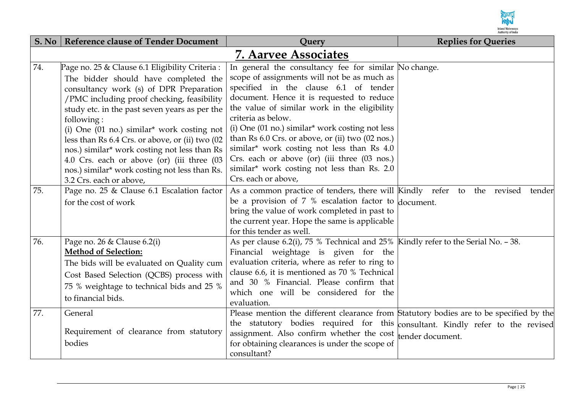

|     | S. No   Reference clause of Tender Document                                                                                                                                                                                                                                                                                                                                                                                                                                                                                                     | Query                                                                                                                                                                                                                                                                                                                                                                                                                                                                                                                                       | <b>Replies for Queries</b> |  |  |  |
|-----|-------------------------------------------------------------------------------------------------------------------------------------------------------------------------------------------------------------------------------------------------------------------------------------------------------------------------------------------------------------------------------------------------------------------------------------------------------------------------------------------------------------------------------------------------|---------------------------------------------------------------------------------------------------------------------------------------------------------------------------------------------------------------------------------------------------------------------------------------------------------------------------------------------------------------------------------------------------------------------------------------------------------------------------------------------------------------------------------------------|----------------------------|--|--|--|
|     | <b>7. Aarvee Associates</b>                                                                                                                                                                                                                                                                                                                                                                                                                                                                                                                     |                                                                                                                                                                                                                                                                                                                                                                                                                                                                                                                                             |                            |  |  |  |
| 74. | Page no. 25 & Clause 6.1 Eligibility Criteria:<br>The bidder should have completed the<br>consultancy work (s) of DPR Preparation<br>/PMC including proof checking, feasibility<br>study etc. in the past seven years as per the<br>following:<br>(i) One $(01 \text{ no.})$ similar <sup>*</sup> work costing not<br>less than Rs 6.4 Crs. or above, or (ii) two (02<br>nos.) similar* work costing not less than Rs<br>4.0 Crs. each or above (or) (iii three (03<br>nos.) similar* work costing not less than Rs.<br>3.2 Crs. each or above, | In general the consultancy fee for similar No change.<br>scope of assignments will not be as much as<br>specified in the clause 6.1 of tender<br>document. Hence it is requested to reduce<br>the value of similar work in the eligibility<br>criteria as below.<br>(i) One (01 no.) similar* work costing not less<br>than Rs 6.0 Crs. or above, or (ii) two (02 nos.)<br>similar* work costing not less than Rs 4.0<br>Crs. each or above (or) (iii three (03 nos.)<br>similar* work costing not less than Rs. 2.0<br>Crs. each or above, |                            |  |  |  |
| 75. | Page no. 25 & Clause 6.1 Escalation factor<br>for the cost of work                                                                                                                                                                                                                                                                                                                                                                                                                                                                              | As a common practice of tenders, there will Kindly refer to the revised<br>be a provision of 7 % escalation factor to $d$ <sub>o</sub> cument.<br>bring the value of work completed in past to<br>the current year. Hope the same is applicable<br>for this tender as well.                                                                                                                                                                                                                                                                 | tender                     |  |  |  |
| 76. | Page no. 26 & Clause 6.2(i)<br><b>Method of Selection:</b><br>The bids will be evaluated on Quality cum<br>Cost Based Selection (QCBS) process with<br>75 % weightage to technical bids and 25 %<br>to financial bids.                                                                                                                                                                                                                                                                                                                          | As per clause 6.2(i), 75 % Technical and 25% Kindly refer to the Serial No. - 38.<br>Financial weightage is given for the<br>evaluation criteria, where as refer to ring to<br>clause 6.6, it is mentioned as 70 % Technical<br>and 30 % Financial. Please confirm that<br>which one will be considered for the<br>evaluation.                                                                                                                                                                                                              |                            |  |  |  |
| 77. | General<br>Requirement of clearance from statutory<br>bodies                                                                                                                                                                                                                                                                                                                                                                                                                                                                                    | Please mention the different clearance from Statutory bodies are to be specified by the<br>the statutory bodies required for this consultant. Kindly refer to the revised<br>assignment. Also confirm whether the cost<br>for obtaining clearances is under the scope of<br>consultant?                                                                                                                                                                                                                                                     | tender document.           |  |  |  |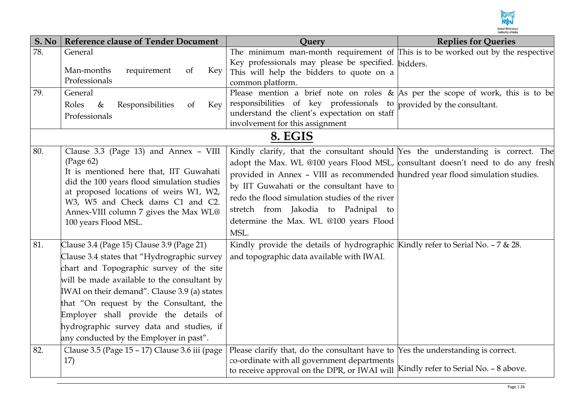

| S. No | <b>Reference clause of Tender Document</b>                                                                                                                                                                                                                                                                                                                                                                     | Query                                                                                                                                                                                                                                                                                                                                                                                                                                         | <b>Replies for Queries</b> |
|-------|----------------------------------------------------------------------------------------------------------------------------------------------------------------------------------------------------------------------------------------------------------------------------------------------------------------------------------------------------------------------------------------------------------------|-----------------------------------------------------------------------------------------------------------------------------------------------------------------------------------------------------------------------------------------------------------------------------------------------------------------------------------------------------------------------------------------------------------------------------------------------|----------------------------|
| 78.   | General<br>Man-months<br>requirement<br><sub>of</sub><br>Key                                                                                                                                                                                                                                                                                                                                                   | The minimum man-month requirement of This is to be worked out by the respective<br>Key professionals may please be specified. bidders.<br>This will help the bidders to quote on a                                                                                                                                                                                                                                                            |                            |
|       | Professionals                                                                                                                                                                                                                                                                                                                                                                                                  | common platform.                                                                                                                                                                                                                                                                                                                                                                                                                              |                            |
| 79.   | General<br>Responsibilities<br>Roles<br>$\&$<br>of<br>Key<br>Professionals                                                                                                                                                                                                                                                                                                                                     | Please mention a brief note on roles & As per the scope of work, this is to be<br>responsibilities of key professionals to $ $ provided by the consultant.<br>understand the client's expectation on staff<br>involvement for this assignment                                                                                                                                                                                                 |                            |
|       |                                                                                                                                                                                                                                                                                                                                                                                                                | 8. EGIS                                                                                                                                                                                                                                                                                                                                                                                                                                       |                            |
| 80.   | Clause 3.3 (Page 13) and Annex - VIII<br>(Page 62)<br>It is mentioned here that, IIT Guwahati<br>did the 100 years flood simulation studies<br>at proposed locations of weirs W1, W2,<br>W3, W5 and Check dams C1 and C2.<br>Annex-VIII column 7 gives the Max WL@<br>100 years Flood MSL.                                                                                                                     | Kindly clarify, that the consultant should Yes the understanding is correct. The<br>adopt the Max. WL @100 years Flood MSL, consultant doesn't need to do any fresh<br>provided in Annex - VIII as recommended hundred year flood simulation studies.<br>by IIT Guwahati or the consultant have to<br>redo the flood simulation studies of the river<br>stretch from Jakodia to Padnipal to<br>determine the Max. WL @100 years Flood<br>MSL. |                            |
| 81.   | Clause 3.4 (Page 15) Clause 3.9 (Page 21)<br>Clause 3.4 states that "Hydrographic survey<br>chart and Topographic survey of the site<br>will be made available to the consultant by<br>IWAI on their demand". Clause 3.9 (a) states<br>that "On request by the Consultant, the<br>Employer shall provide the details of<br>hydrographic survey data and studies, if<br>any conducted by the Employer in past". | Kindly provide the details of hydrographic Kindly refer to Serial No. $-7 < 28$ .<br>and topographic data available with IWAI.                                                                                                                                                                                                                                                                                                                |                            |
| 82.   | Clause 3.5 (Page 15 - 17) Clause 3.6 iii (page<br>17)                                                                                                                                                                                                                                                                                                                                                          | Please clarify that, do the consultant have to $\gamma$ es the understanding is correct.<br>co-ordinate with all government departments<br>to receive approval on the DPR, or IWAI will Kindly refer to Serial No. - 8 above.                                                                                                                                                                                                                 |                            |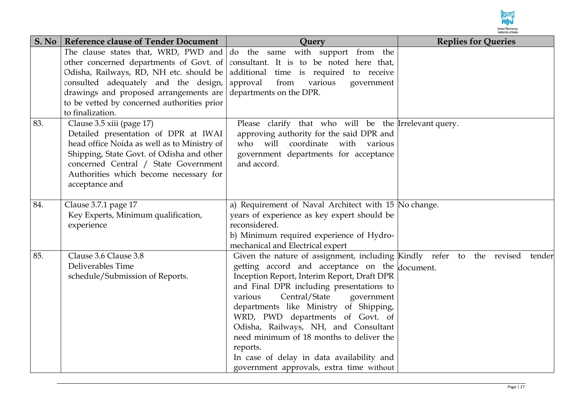

| S. No | <b>Reference clause of Tender Document</b>                                                                                                                                                                                                                        | Query                                                                                                                                                                                                                                                                                                                                                                                                                                                                                                                               | <b>Replies for Queries</b> |
|-------|-------------------------------------------------------------------------------------------------------------------------------------------------------------------------------------------------------------------------------------------------------------------|-------------------------------------------------------------------------------------------------------------------------------------------------------------------------------------------------------------------------------------------------------------------------------------------------------------------------------------------------------------------------------------------------------------------------------------------------------------------------------------------------------------------------------------|----------------------------|
|       | consulted adequately and the design, approval<br>drawings and proposed arrangements are departments on the DPR.<br>to be vetted by concerned authorities prior<br>to finalization.                                                                                | The clause states that, WRD, PWD and $\vert$ do the same with support from the<br>other concerned departments of Govt. of consultant. It is to be noted here that,<br>Odisha, Railways, RD, NH etc. should be additional time is required to receive<br>from<br>various<br>government                                                                                                                                                                                                                                               |                            |
| 83.   | Clause 3.5 xiii (page 17)<br>Detailed presentation of DPR at IWAI<br>head office Noida as well as to Ministry of<br>Shipping, State Govt. of Odisha and other<br>concerned Central / State Government<br>Authorities which become necessary for<br>acceptance and | Please clarify that who will be the Irrelevant query.<br>approving authority for the said DPR and<br>will coordinate with various<br>who<br>government departments for acceptance<br>and accord.                                                                                                                                                                                                                                                                                                                                    |                            |
| 84.   | Clause 3.7.1 page 17<br>Key Experts, Minimum qualification,<br>experience                                                                                                                                                                                         | a) Requirement of Naval Architect with 15 No change.<br>years of experience as key expert should be<br>reconsidered.<br>b) Minimum required experience of Hydro-<br>mechanical and Electrical expert                                                                                                                                                                                                                                                                                                                                |                            |
| 85.   | Clause 3.6 Clause 3.8<br>Deliverables Time<br>schedule/Submission of Reports.                                                                                                                                                                                     | Given the nature of assignment, including Kindly refer to the revised<br>getting accord and acceptance on the document.<br>Inception Report, Interim Report, Draft DPR<br>and Final DPR including presentations to<br>Central/State<br>government<br>various<br>departments like Ministry of Shipping,<br>WRD, PWD departments of Govt. of<br>Odisha, Railways, NH, and Consultant<br>need minimum of 18 months to deliver the<br>reports.<br>In case of delay in data availability and<br>government approvals, extra time without | tender                     |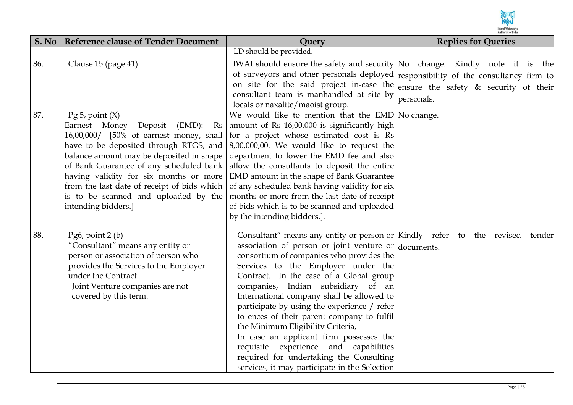

| S. No | <b>Reference clause of Tender Document</b>                                                                                                                                                                                                                                                                                                                                                     | Query                                                                                                                                                                                                                                                                                                                                                                                                                                                                                                                                                                                                                                                              | <b>Replies for Queries</b>                          |  |  |  |  |  |
|-------|------------------------------------------------------------------------------------------------------------------------------------------------------------------------------------------------------------------------------------------------------------------------------------------------------------------------------------------------------------------------------------------------|--------------------------------------------------------------------------------------------------------------------------------------------------------------------------------------------------------------------------------------------------------------------------------------------------------------------------------------------------------------------------------------------------------------------------------------------------------------------------------------------------------------------------------------------------------------------------------------------------------------------------------------------------------------------|-----------------------------------------------------|--|--|--|--|--|
|       |                                                                                                                                                                                                                                                                                                                                                                                                | LD should be provided.                                                                                                                                                                                                                                                                                                                                                                                                                                                                                                                                                                                                                                             |                                                     |  |  |  |  |  |
| 86.   | Clause 15 (page 41)                                                                                                                                                                                                                                                                                                                                                                            | IWAI should ensure the safety and security No change. Kindly note it is the<br>of surveyors and other personals deployed responsibility of the consultancy firm to<br>on site for the said project in-case the<br>consultant team is manhandled at site by<br>locals or naxalite/maoist group.                                                                                                                                                                                                                                                                                                                                                                     | ensure the safety & security of their<br>personals. |  |  |  |  |  |
| 87.   | Pg 5, point $(X)$<br>Earnest Money Deposit<br>$(EMD):$ Rs<br>16,00,000/- [50% of earnest money, shall<br>have to be deposited through RTGS, and<br>balance amount may be deposited in shape<br>of Bank Guarantee of any scheduled bank<br>having validity for six months or more<br>from the last date of receipt of bids which<br>is to be scanned and uploaded by the<br>intending bidders.] | We would like to mention that the EMD No change.<br>amount of Rs 16,00,000 is significantly high<br>for a project whose estimated cost is Rs<br>$8,00,000,00$ . We would like to request the<br>department to lower the EMD fee and also<br>allow the consultants to deposit the entire<br>EMD amount in the shape of Bank Guarantee<br>of any scheduled bank having validity for six<br>months or more from the last date of receipt<br>of bids which is to be scanned and uploaded<br>by the intending bidders.].                                                                                                                                                |                                                     |  |  |  |  |  |
| 88.   | Pg6, point $2(b)$<br>"Consultant" means any entity or<br>person or association of person who<br>provides the Services to the Employer<br>under the Contract.<br>Joint Venture companies are not<br>covered by this term.                                                                                                                                                                       | Consultant" means any entity or person or Kindly refer to the revised<br>association of person or joint venture or documents.<br>consortium of companies who provides the<br>Services to the Employer under the<br>Contract. In the case of a Global group<br>companies, Indian subsidiary of an<br>International company shall be allowed to<br>participate by using the experience / refer<br>to ences of their parent company to fulfil<br>the Minimum Eligibility Criteria,<br>In case an applicant firm possesses the<br>requisite experience and<br>capabilities<br>required for undertaking the Consulting<br>services, it may participate in the Selection | tender                                              |  |  |  |  |  |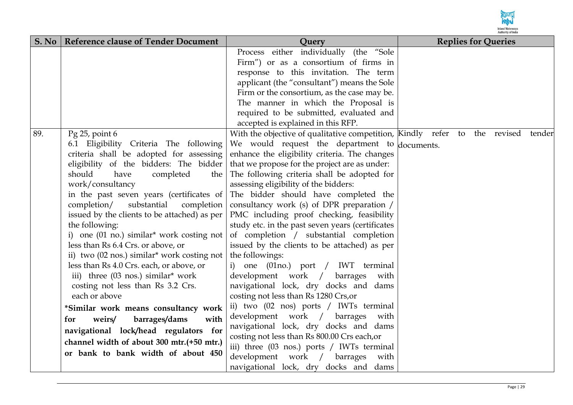

|     | S. No   Reference clause of Tender Document                     | Query                                                                                      | <b>Replies for Queries</b> |
|-----|-----------------------------------------------------------------|--------------------------------------------------------------------------------------------|----------------------------|
|     |                                                                 | Process either individually (the "Sole                                                     |                            |
|     |                                                                 | Firm") or as a consortium of firms in                                                      |                            |
|     |                                                                 | response to this invitation. The term                                                      |                            |
|     |                                                                 | applicant (the "consultant") means the Sole                                                |                            |
|     |                                                                 | Firm or the consortium, as the case may be.                                                |                            |
|     |                                                                 | The manner in which the Proposal is                                                        |                            |
|     |                                                                 | required to be submitted, evaluated and                                                    |                            |
|     |                                                                 | accepted is explained in this RFP.                                                         |                            |
| 89. | Pg 25, point 6                                                  | With the objective of qualitative competition, Kindly refer to the revised tender          |                            |
|     | 6.1 Eligibility Criteria The following                          | We would request the department to documents.                                              |                            |
|     | criteria shall be adopted for assessing                         | enhance the eligibility criteria. The changes                                              |                            |
|     | eligibility of the bidders: The bidder                          | that we propose for the project are as under:                                              |                            |
|     | should<br>have<br>completed<br>the                              | The following criteria shall be adopted for                                                |                            |
|     | work/consultancy                                                | assessing eligibility of the bidders:                                                      |                            |
|     | in the past seven years (certificates of                        | The bidder should have completed the                                                       |                            |
|     | completion/<br>substantial<br>completion                        | consultancy work (s) of DPR preparation /                                                  |                            |
|     | issued by the clients to be attached) as per                    | PMC including proof checking, feasibility                                                  |                            |
|     | the following:                                                  | study etc. in the past seven years (certificates                                           |                            |
|     | i) one $(01 \text{ no.})$ similar <sup>*</sup> work costing not | of completion / substantial completion                                                     |                            |
|     | less than Rs 6.4 Crs. or above, or                              | issued by the clients to be attached) as per                                               |                            |
|     | ii) two (02 nos.) similar* work costing not                     | the followings:                                                                            |                            |
|     | less than Rs 4.0 Crs. each, or above, or                        | i) one (01no.) port / IWT terminal                                                         |                            |
|     | iii) three (03 nos.) similar* work                              | development work /<br>barrages<br>with                                                     |                            |
|     | costing not less than Rs 3.2 Crs.                               | navigational lock, dry docks and dams                                                      |                            |
|     | each or above                                                   | costing not less than Rs 1280 Crs, or                                                      |                            |
|     | *Similar work means consultancy work                            | ii) two (02 nos) ports / IWTs terminal                                                     |                            |
|     | barrages/dams<br>weirs/<br>with<br>for                          | development work / barrages<br>with                                                        |                            |
|     | navigational lock/head regulators for                           | navigational lock, dry docks and dams                                                      |                            |
|     | channel width of about 300 mtr.(+50 mtr.)                       | costing not less than Rs 800.00 Crs each, or<br>iii) three (03 nos.) ports / IWTs terminal |                            |
|     | or bank to bank width of about 450                              | development work / barrages<br>with                                                        |                            |
|     |                                                                 | navigational lock, dry docks and dams                                                      |                            |
|     |                                                                 |                                                                                            |                            |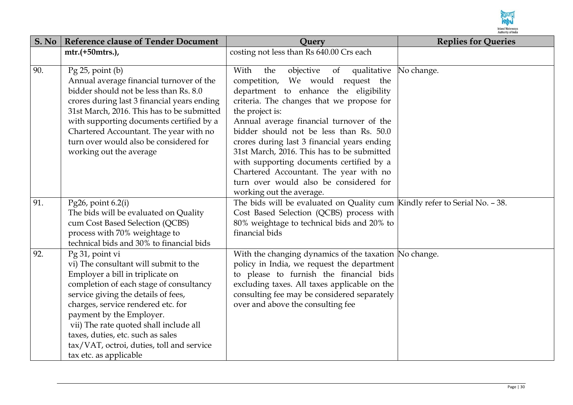

| S. No | <b>Reference clause of Tender Document</b>                                  | Query                                                                      | <b>Replies for Queries</b> |
|-------|-----------------------------------------------------------------------------|----------------------------------------------------------------------------|----------------------------|
|       | mtr.(+50mtrs.),                                                             | costing not less than Rs 640.00 Crs each                                   |                            |
|       |                                                                             |                                                                            |                            |
| 90.   | $Pg$ 25, point $(b)$                                                        | objective<br>of qualitative<br>With<br>the                                 | No change.                 |
|       | Annual average financial turnover of the                                    | competition, We would request the                                          |                            |
|       | bidder should not be less than Rs. 8.0                                      | department to enhance the eligibility                                      |                            |
|       | crores during last 3 financial years ending                                 | criteria. The changes that we propose for                                  |                            |
|       | 31st March, 2016. This has to be submitted                                  | the project is:                                                            |                            |
|       | with supporting documents certified by a                                    | Annual average financial turnover of the                                   |                            |
|       | Chartered Accountant. The year with no                                      | bidder should not be less than Rs. 50.0                                    |                            |
|       | turn over would also be considered for                                      | crores during last 3 financial years ending                                |                            |
|       | working out the average                                                     | 31st March, 2016. This has to be submitted                                 |                            |
|       |                                                                             | with supporting documents certified by a                                   |                            |
|       |                                                                             | Chartered Accountant. The year with no                                     |                            |
|       |                                                                             | turn over would also be considered for                                     |                            |
|       |                                                                             | working out the average.                                                   |                            |
| 91.   | Pg26, point $6.2(i)$                                                        | The bids will be evaluated on Quality cum Kindly refer to Serial No. - 38. |                            |
|       | The bids will be evaluated on Quality                                       | Cost Based Selection (QCBS) process with                                   |                            |
|       | cum Cost Based Selection (QCBS)                                             | 80% weightage to technical bids and 20% to                                 |                            |
|       | process with 70% weightage to                                               | financial bids                                                             |                            |
|       | technical bids and 30% to financial bids                                    |                                                                            |                            |
| 92.   | Pg 31, point vi                                                             | With the changing dynamics of the taxation No change.                      |                            |
|       | vi) The consultant will submit to the                                       | policy in India, we request the department                                 |                            |
|       | Employer a bill in triplicate on                                            | to please to furnish the financial bids                                    |                            |
|       | completion of each stage of consultancy                                     | excluding taxes. All taxes applicable on the                               |                            |
|       | service giving the details of fees,                                         | consulting fee may be considered separately                                |                            |
|       | charges, service rendered etc. for                                          | over and above the consulting fee                                          |                            |
|       | payment by the Employer.                                                    |                                                                            |                            |
|       | vii) The rate quoted shall include all<br>taxes, duties, etc. such as sales |                                                                            |                            |
|       | tax/VAT, octroi, duties, toll and service                                   |                                                                            |                            |
|       | tax etc. as applicable                                                      |                                                                            |                            |
|       |                                                                             |                                                                            |                            |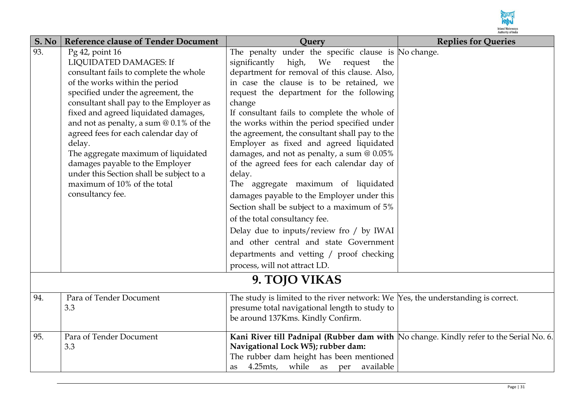

| S. No | <b>Reference clause of Tender Document</b>                                                                                                                                                                                                                                                                                                                                                                                                                                                                             | Ouery                                                                                                                                                                                                                                                                                                                                                                                                                                                                                                                                                                                                                                                                                                                                                                                                                                                                                        | <b>Replies for Queries</b> |
|-------|------------------------------------------------------------------------------------------------------------------------------------------------------------------------------------------------------------------------------------------------------------------------------------------------------------------------------------------------------------------------------------------------------------------------------------------------------------------------------------------------------------------------|----------------------------------------------------------------------------------------------------------------------------------------------------------------------------------------------------------------------------------------------------------------------------------------------------------------------------------------------------------------------------------------------------------------------------------------------------------------------------------------------------------------------------------------------------------------------------------------------------------------------------------------------------------------------------------------------------------------------------------------------------------------------------------------------------------------------------------------------------------------------------------------------|----------------------------|
| 93.   | Pg 42, point 16<br>LIQUIDATED DAMAGES: If<br>consultant fails to complete the whole<br>of the works within the period<br>specified under the agreement, the<br>consultant shall pay to the Employer as<br>fixed and agreed liquidated damages,<br>and not as penalty, a sum $@0.1\%$ of the<br>agreed fees for each calendar day of<br>delay.<br>The aggregate maximum of liquidated<br>damages payable to the Employer<br>under this Section shall be subject to a<br>maximum of 10% of the total<br>consultancy fee. | The penalty under the specific clause is No change.<br>significantly<br>high, We request<br>the<br>department for removal of this clause. Also,<br>in case the clause is to be retained, we<br>request the department for the following<br>change<br>If consultant fails to complete the whole of<br>the works within the period specified under<br>the agreement, the consultant shall pay to the<br>Employer as fixed and agreed liquidated<br>damages, and not as penalty, a sum @ 0.05%<br>of the agreed fees for each calendar day of<br>delay.<br>The aggregate maximum of liquidated<br>damages payable to the Employer under this<br>Section shall be subject to a maximum of 5%<br>of the total consultancy fee.<br>Delay due to inputs/review fro / by IWAI<br>and other central and state Government<br>departments and vetting / proof checking<br>process, will not attract LD. |                            |
|       |                                                                                                                                                                                                                                                                                                                                                                                                                                                                                                                        | 9. TOJO VIKAS                                                                                                                                                                                                                                                                                                                                                                                                                                                                                                                                                                                                                                                                                                                                                                                                                                                                                |                            |
| 94.   | Para of Tender Document<br>3.3                                                                                                                                                                                                                                                                                                                                                                                                                                                                                         | The study is limited to the river network: We $\gamma$ es, the understanding is correct.<br>presume total navigational length to study to<br>be around 137Kms. Kindly Confirm.                                                                                                                                                                                                                                                                                                                                                                                                                                                                                                                                                                                                                                                                                                               |                            |
| 95.   | Para of Tender Document<br>3.3                                                                                                                                                                                                                                                                                                                                                                                                                                                                                         | Kani River till Padnipal (Rubber dam with No change. Kindly refer to the Serial No. 6.<br>Navigational Lock W5); rubber dam:<br>The rubber dam height has been mentioned<br>4.25mts, while as per<br>available<br>as                                                                                                                                                                                                                                                                                                                                                                                                                                                                                                                                                                                                                                                                         |                            |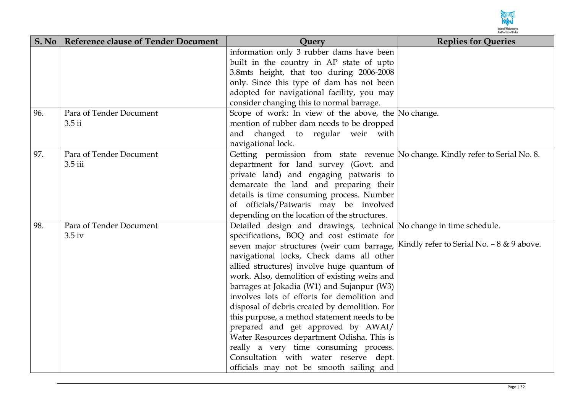

| S. No | <b>Reference clause of Tender Document</b> | Query                                                                          | <b>Replies for Queries</b>                 |
|-------|--------------------------------------------|--------------------------------------------------------------------------------|--------------------------------------------|
|       |                                            | information only 3 rubber dams have been                                       |                                            |
|       |                                            | built in the country in AP state of upto                                       |                                            |
|       |                                            | 3.8mts height, that too during 2006-2008                                       |                                            |
|       |                                            | only. Since this type of dam has not been                                      |                                            |
|       |                                            | adopted for navigational facility, you may                                     |                                            |
|       |                                            | consider changing this to normal barrage.                                      |                                            |
| 96.   | Para of Tender Document                    | Scope of work: In view of the above, the No change.                            |                                            |
|       | $3.5$ ii                                   | mention of rubber dam needs to be dropped                                      |                                            |
|       |                                            | and changed to regular weir with                                               |                                            |
|       |                                            | navigational lock.                                                             |                                            |
| 97.   | Para of Tender Document                    | Getting permission from state revenue No change. Kindly refer to Serial No. 8. |                                            |
|       | 3.5 iii                                    | department for land survey (Govt. and                                          |                                            |
|       |                                            | private land) and engaging patwaris to                                         |                                            |
|       |                                            | demarcate the land and preparing their                                         |                                            |
|       |                                            | details is time consuming process. Number                                      |                                            |
|       |                                            | of officials/Patwaris may be involved                                          |                                            |
|       |                                            | depending on the location of the structures.                                   |                                            |
| 98.   | Para of Tender Document                    | Detailed design and drawings, technical No change in time schedule.            |                                            |
|       | 3.5 <sub>iv</sub>                          | specifications, BOQ and cost estimate for                                      |                                            |
|       |                                            | seven major structures (weir cum barrage,                                      | Kindly refer to Serial No. $-8 & 9$ above. |
|       |                                            | navigational locks, Check dams all other                                       |                                            |
|       |                                            | allied structures) involve huge quantum of                                     |                                            |
|       |                                            | work. Also, demolition of existing weirs and                                   |                                            |
|       |                                            | barrages at Jokadia (W1) and Sujanpur (W3)                                     |                                            |
|       |                                            | involves lots of efforts for demolition and                                    |                                            |
|       |                                            | disposal of debris created by demolition. For                                  |                                            |
|       |                                            | this purpose, a method statement needs to be                                   |                                            |
|       |                                            | prepared and get approved by AWAI/                                             |                                            |
|       |                                            | Water Resources department Odisha. This is                                     |                                            |
|       |                                            | really a very time consuming process.                                          |                                            |
|       |                                            | Consultation with water reserve dept.                                          |                                            |
|       |                                            | officials may not be smooth sailing and                                        |                                            |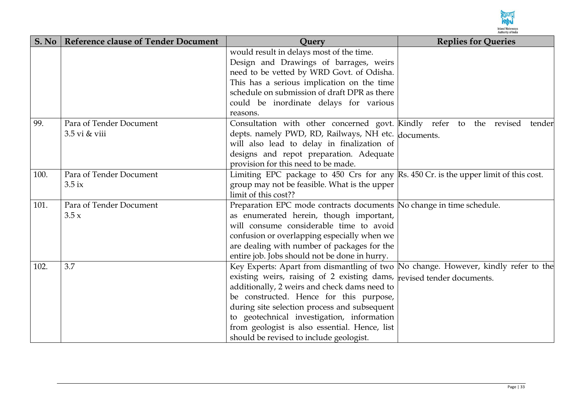

| S. No | <b>Reference clause of Tender Document</b> | <b>Ouery</b>                                                                         | <b>Replies for Queries</b> |
|-------|--------------------------------------------|--------------------------------------------------------------------------------------|----------------------------|
|       |                                            | would result in delays most of the time.                                             |                            |
|       |                                            | Design and Drawings of barrages, weirs                                               |                            |
|       |                                            | need to be vetted by WRD Govt. of Odisha.                                            |                            |
|       |                                            | This has a serious implication on the time                                           |                            |
|       |                                            | schedule on submission of draft DPR as there                                         |                            |
|       |                                            | could be inordinate delays for various                                               |                            |
|       |                                            | reasons.                                                                             |                            |
| 99.   | Para of Tender Document                    | Consultation with other concerned govt. Kindly refer to the revised                  | tender                     |
|       | 3.5 vi & viii                              | depts. namely PWD, RD, Railways, NH etc. documents.                                  |                            |
|       |                                            | will also lead to delay in finalization of                                           |                            |
|       |                                            | designs and repot preparation. Adequate                                              |                            |
|       |                                            | provision for this need to be made.                                                  |                            |
| 100.  | Para of Tender Document                    | Limiting EPC package to 450 Crs for any Rs. 450 Cr. is the upper limit of this cost. |                            |
|       | $3.5$ ix                                   | group may not be feasible. What is the upper                                         |                            |
|       |                                            | limit of this cost??                                                                 |                            |
| 101.  | Para of Tender Document                    | Preparation EPC mode contracts documents No change in time schedule.                 |                            |
|       | 3.5x                                       | as enumerated herein, though important,                                              |                            |
|       |                                            | will consume considerable time to avoid                                              |                            |
|       |                                            | confusion or overlapping especially when we                                          |                            |
|       |                                            | are dealing with number of packages for the                                          |                            |
|       |                                            | entire job. Jobs should not be done in hurry.                                        |                            |
| 102.  | 3.7                                        | Key Experts: Apart from dismantling of two No change. However, kindly refer to the   |                            |
|       |                                            | existing weirs, raising of 2 existing dams, revised tender documents.                |                            |
|       |                                            | additionally, 2 weirs and check dams need to                                         |                            |
|       |                                            | be constructed. Hence for this purpose,                                              |                            |
|       |                                            | during site selection process and subsequent                                         |                            |
|       |                                            | to geotechnical investigation, information                                           |                            |
|       |                                            | from geologist is also essential. Hence, list                                        |                            |
|       |                                            | should be revised to include geologist.                                              |                            |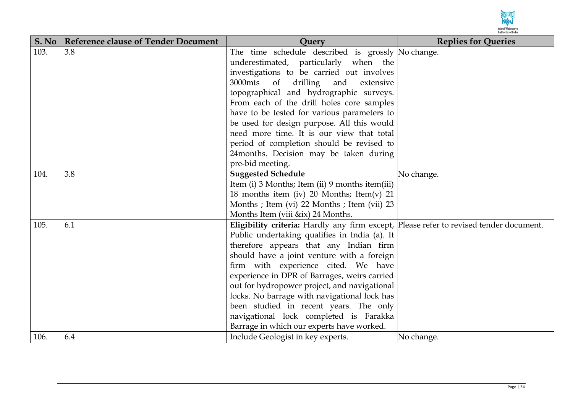

| S. No | <b>Reference clause of Tender Document</b> | <b>Ouery</b>                                                                           | <b>Replies for Queries</b> |
|-------|--------------------------------------------|----------------------------------------------------------------------------------------|----------------------------|
| 103.  | 3.8                                        | The time schedule described is grossly No change.                                      |                            |
|       |                                            | underestimated, particularly when the                                                  |                            |
|       |                                            | investigations to be carried out involves                                              |                            |
|       |                                            | 3000mts of drilling<br>and<br>extensive                                                |                            |
|       |                                            | topographical and hydrographic surveys.                                                |                            |
|       |                                            | From each of the drill holes core samples                                              |                            |
|       |                                            | have to be tested for various parameters to                                            |                            |
|       |                                            | be used for design purpose. All this would                                             |                            |
|       |                                            | need more time. It is our view that total                                              |                            |
|       |                                            | period of completion should be revised to                                              |                            |
|       |                                            | 24 months. Decision may be taken during                                                |                            |
|       |                                            | pre-bid meeting.                                                                       |                            |
| 104.  | 3.8                                        | <b>Suggested Schedule</b>                                                              | No change.                 |
|       |                                            | Item (i) 3 Months; Item (ii) 9 months item (iii)                                       |                            |
|       |                                            | 18 months item (iv) 20 Months; Item(v) 21                                              |                            |
|       |                                            | Months ; Item (vi) 22 Months ; Item (vii) 23                                           |                            |
|       |                                            | Months Item (viii &ix) 24 Months.                                                      |                            |
| 105.  | 6.1                                        | Eligibility criteria: Hardly any firm except, Please refer to revised tender document. |                            |
|       |                                            | Public undertaking qualifies in India (a). It                                          |                            |
|       |                                            | therefore appears that any Indian firm                                                 |                            |
|       |                                            | should have a joint venture with a foreign                                             |                            |
|       |                                            | firm with experience cited. We have                                                    |                            |
|       |                                            | experience in DPR of Barrages, weirs carried                                           |                            |
|       |                                            | out for hydropower project, and navigational                                           |                            |
|       |                                            | locks. No barrage with navigational lock has                                           |                            |
|       |                                            | been studied in recent years. The only                                                 |                            |
|       |                                            | navigational lock completed is Farakka                                                 |                            |
|       |                                            | Barrage in which our experts have worked.                                              |                            |
| 106.  | 6.4                                        | Include Geologist in key experts.                                                      | No change.                 |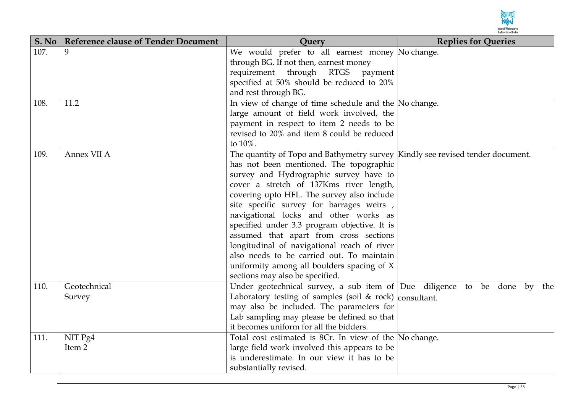

| S. No | <b>Reference clause of Tender Document</b> | <b>Query</b>                                                                   | <b>Replies for Queries</b> |
|-------|--------------------------------------------|--------------------------------------------------------------------------------|----------------------------|
| 107.  | 9                                          | We would prefer to all earnest money No change.                                |                            |
|       |                                            | through BG. If not then, earnest money                                         |                            |
|       |                                            | requirement through RTGS payment                                               |                            |
|       |                                            | specified at 50% should be reduced to 20%                                      |                            |
|       |                                            | and rest through BG.                                                           |                            |
| 108.  | 11.2                                       | In view of change of time schedule and the No change.                          |                            |
|       |                                            | large amount of field work involved, the                                       |                            |
|       |                                            | payment in respect to item 2 needs to be                                       |                            |
|       |                                            | revised to 20% and item 8 could be reduced                                     |                            |
|       |                                            | to 10%.                                                                        |                            |
| 109.  | Annex VII A                                | The quantity of Topo and Bathymetry survey Kindly see revised tender document. |                            |
|       |                                            | has not been mentioned. The topographic                                        |                            |
|       |                                            | survey and Hydrographic survey have to                                         |                            |
|       |                                            | cover a stretch of 137Kms river length,                                        |                            |
|       |                                            | covering upto HFL. The survey also include                                     |                            |
|       |                                            | site specific survey for barrages weirs,                                       |                            |
|       |                                            | navigational locks and other works as                                          |                            |
|       |                                            | specified under 3.3 program objective. It is                                   |                            |
|       |                                            | assumed that apart from cross sections                                         |                            |
|       |                                            | longitudinal of navigational reach of river                                    |                            |
|       |                                            | also needs to be carried out. To maintain                                      |                            |
|       |                                            | uniformity among all boulders spacing of X                                     |                            |
|       |                                            | sections may also be specified.                                                |                            |
| 110.  | Geotechnical                               | Under geotechnical survey, a sub item of Due diligence to be done by the       |                            |
|       | Survey                                     | Laboratory testing of samples (soil $\&$ rock) consultant.                     |                            |
|       |                                            | may also be included. The parameters for                                       |                            |
|       |                                            | Lab sampling may please be defined so that                                     |                            |
|       |                                            | it becomes uniform for all the bidders.                                        |                            |
| 111.  | NIT Pg4                                    | Total cost estimated is 8Cr. In view of the No change.                         |                            |
|       | Item 2                                     | large field work involved this appears to be                                   |                            |
|       |                                            | is underestimate. In our view it has to be                                     |                            |
|       |                                            | substantially revised.                                                         |                            |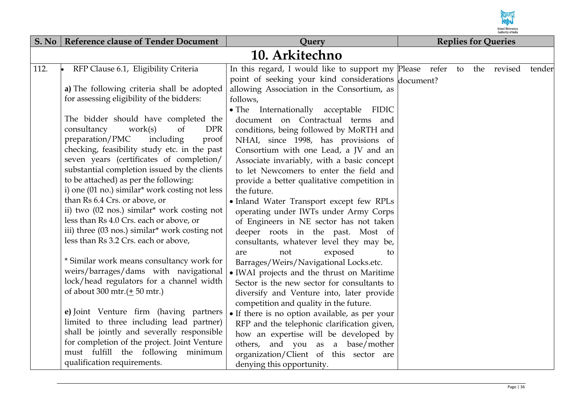

|      | S. No   Reference clause of Tender Document                                                                                                                                                                                                                                                                                                                                                                                                                                                                                                                                             | Query                                                                                                                                                                                                                                                                                                                                                                                                                                                                                                                                                                                     | <b>Replies for Queries</b> |  |  |  |        |
|------|-----------------------------------------------------------------------------------------------------------------------------------------------------------------------------------------------------------------------------------------------------------------------------------------------------------------------------------------------------------------------------------------------------------------------------------------------------------------------------------------------------------------------------------------------------------------------------------------|-------------------------------------------------------------------------------------------------------------------------------------------------------------------------------------------------------------------------------------------------------------------------------------------------------------------------------------------------------------------------------------------------------------------------------------------------------------------------------------------------------------------------------------------------------------------------------------------|----------------------------|--|--|--|--------|
|      |                                                                                                                                                                                                                                                                                                                                                                                                                                                                                                                                                                                         | 10. Arkitechno                                                                                                                                                                                                                                                                                                                                                                                                                                                                                                                                                                            |                            |  |  |  |        |
| 112. | RFP Clause 6.1, Eligibility Criteria<br>a) The following criteria shall be adopted<br>for assessing eligibility of the bidders:                                                                                                                                                                                                                                                                                                                                                                                                                                                         | In this regard, I would like to support my Please refer to the revised<br>point of seeking your kind considerations document?<br>allowing Association in the Consortium, as<br>follows,                                                                                                                                                                                                                                                                                                                                                                                                   |                            |  |  |  | tender |
|      | The bidder should have completed the<br>consultancy<br>work(s)<br>of<br><b>DPR</b><br>preparation/PMC<br>including<br>proof<br>checking, feasibility study etc. in the past<br>seven years (certificates of completion/<br>substantial completion issued by the clients<br>to be attached) as per the following:<br>i) one (01 no.) similar* work costing not less<br>than Rs 6.4 Crs. or above, or<br>ii) two (02 nos.) similar* work costing not<br>less than Rs 4.0 Crs. each or above, or<br>iii) three (03 nos.) similar* work costing not<br>less than Rs 3.2 Crs. each or above, | $\bullet$ The<br>Internationally acceptable FIDIC<br>document on Contractual terms and<br>conditions, being followed by MoRTH and<br>NHAI, since 1998, has provisions of<br>Consortium with one Lead, a JV and an<br>Associate invariably, with a basic concept<br>to let Newcomers to enter the field and<br>provide a better qualitative competition in<br>the future.<br>• Inland Water Transport except few RPLs<br>operating under IWTs under Army Corps<br>of Engineers in NE sector has not taken<br>deeper roots in the past. Most of<br>consultants, whatever level they may be, |                            |  |  |  |        |
|      | * Similar work means consultancy work for<br>weirs/barrages/dams with navigational<br>lock/head regulators for a channel width<br>of about 300 mtr. $(\pm 50$ mtr.)<br>e) Joint Venture firm (having partners<br>limited to three including lead partner)<br>shall be jointly and severally responsible<br>for completion of the project. Joint Venture<br>must fulfill the following minimum<br>qualification requirements.                                                                                                                                                            | exposed<br>not<br>are<br>to<br>Barrages/Weirs/Navigational Locks.etc.<br>• IWAI projects and the thrust on Maritime<br>Sector is the new sector for consultants to<br>diversify and Venture into, later provide<br>competition and quality in the future.<br>• If there is no option available, as per your<br>RFP and the telephonic clarification given,<br>how an expertise will be developed by<br>others, and you as a base/mother<br>organization/Client of this sector are<br>denying this opportunity.                                                                            |                            |  |  |  |        |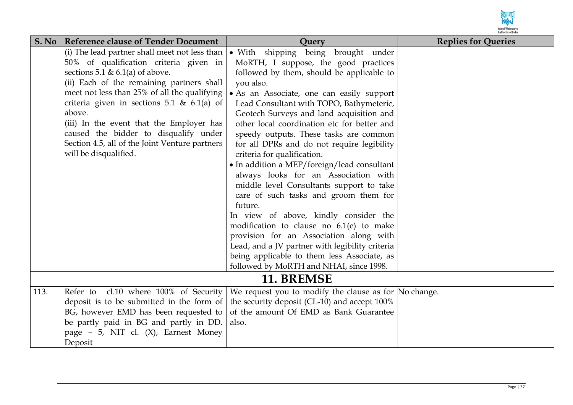

| S. No | <b>Reference clause of Tender Document</b>        | <b>Ouery</b>                                          | <b>Replies for Queries</b> |
|-------|---------------------------------------------------|-------------------------------------------------------|----------------------------|
|       | (i) The lead partner shall meet not less than $ $ | • With shipping being brought under                   |                            |
|       | 50% of qualification criteria given in            | MoRTH, I suppose, the good practices                  |                            |
|       | sections 5.1 & 6.1(a) of above.                   | followed by them, should be applicable to             |                            |
|       | (ii) Each of the remaining partners shall         | you also.                                             |                            |
|       | meet not less than 25% of all the qualifying      | • As an Associate, one can easily support             |                            |
|       | criteria given in sections 5.1 & 6.1(a) of        | Lead Consultant with TOPO, Bathymeteric,              |                            |
|       | above.                                            | Geotech Surveys and land acquisition and              |                            |
|       | (iii) In the event that the Employer has          | other local coordination etc for better and           |                            |
|       | caused the bidder to disqualify under             | speedy outputs. These tasks are common                |                            |
|       | Section 4.5, all of the Joint Venture partners    | for all DPRs and do not require legibility            |                            |
|       | will be disqualified.                             | criteria for qualification.                           |                            |
|       |                                                   | • In addition a MEP/foreign/lead consultant           |                            |
|       |                                                   | always looks for an Association with                  |                            |
|       |                                                   | middle level Consultants support to take              |                            |
|       |                                                   | care of such tasks and groom them for                 |                            |
|       |                                                   | future.                                               |                            |
|       |                                                   | In view of above, kindly consider the                 |                            |
|       |                                                   | modification to clause no $6.1(e)$ to make            |                            |
|       |                                                   | provision for an Association along with               |                            |
|       |                                                   | Lead, and a JV partner with legibility criteria       |                            |
|       |                                                   | being applicable to them less Associate, as           |                            |
|       |                                                   | followed by MoRTH and NHAI, since 1998.               |                            |
|       |                                                   | 11. BREMSE                                            |                            |
| 113.  | Refer to cl.10 where 100% of Security             | We request you to modify the clause as for No change. |                            |
|       | deposit is to be submitted in the form of $\vert$ | the security deposit (CL-10) and accept 100%          |                            |
|       | BG, however EMD has been requested to             | of the amount Of EMD as Bank Guarantee                |                            |
|       | be partly paid in BG and partly in DD.            | also.                                                 |                            |
|       | page - 5, NIT cl. (X), Earnest Money              |                                                       |                            |
|       | Deposit                                           |                                                       |                            |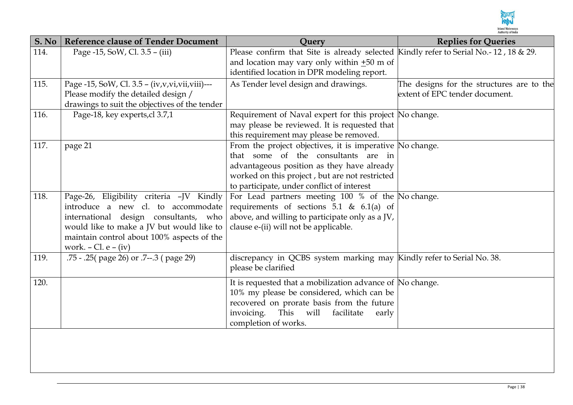

| S. No | <b>Reference clause of Tender Document</b>         | <b>Ouery</b>                                                                                    | <b>Replies for Queries</b>                |
|-------|----------------------------------------------------|-------------------------------------------------------------------------------------------------|-------------------------------------------|
| 114.  | Page -15, SoW, Cl. 3.5 - (iii)                     | Please confirm that Site is already selected Kindly refer to Serial No.-12, 18 & 29.            |                                           |
|       |                                                    | and location may vary only within $\pm 50$ m of                                                 |                                           |
|       |                                                    | identified location in DPR modeling report.                                                     |                                           |
| 115.  | Page -15, SoW, Cl. 3.5 - (iv, v, vi, vii, viii)--- | As Tender level design and drawings.                                                            | The designs for the structures are to the |
|       | Please modify the detailed design /                |                                                                                                 | extent of EPC tender document.            |
|       | drawings to suit the objectives of the tender      |                                                                                                 |                                           |
| 116.  | Page-18, key experts, cl 3.7,1                     | Requirement of Naval expert for this project No change.                                         |                                           |
|       |                                                    | may please be reviewed. It is requested that                                                    |                                           |
|       |                                                    | this requirement may please be removed.                                                         |                                           |
| 117.  | page 21                                            | From the project objectives, it is imperative No change.<br>that some of the consultants are in |                                           |
|       |                                                    | advantageous position as they have already                                                      |                                           |
|       |                                                    | worked on this project, but are not restricted                                                  |                                           |
|       |                                                    | to participate, under conflict of interest                                                      |                                           |
| 118.  | Page-26, Eligibility criteria -JV Kindly           | For Lead partners meeting $100 %$ of the $No$ change.                                           |                                           |
|       | introduce a new cl. to accommodate                 | requirements of sections 5.1 & $6.1(a)$ of                                                      |                                           |
|       | international design consultants, who              | above, and willing to participate only as a JV,                                                 |                                           |
|       | would like to make a JV but would like to          | clause e-(ii) will not be applicable.                                                           |                                           |
|       | maintain control about 100% aspects of the         |                                                                                                 |                                           |
|       | work. $-$ Cl. $e - (iv)$                           |                                                                                                 |                                           |
| 119.  | .75 - .25( page 26) or .7--.3 ( page 29)           | discrepancy in QCBS system marking may Kindly refer to Serial No. 38.                           |                                           |
|       |                                                    | please be clarified                                                                             |                                           |
| 120.  |                                                    | It is requested that a mobilization advance of No change.                                       |                                           |
|       |                                                    | 10% my please be considered, which can be                                                       |                                           |
|       |                                                    | recovered on prorate basis from the future                                                      |                                           |
|       |                                                    | This will<br>invoicing.<br>facilitate<br>early                                                  |                                           |
|       |                                                    | completion of works.                                                                            |                                           |
|       |                                                    |                                                                                                 |                                           |
|       |                                                    |                                                                                                 |                                           |
|       |                                                    |                                                                                                 |                                           |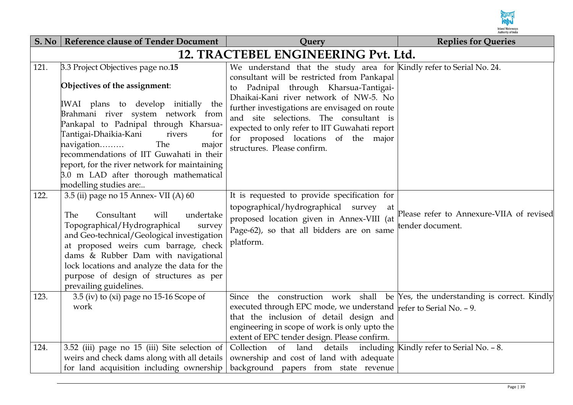

| S. No | <b>Reference clause of Tender Document</b>                                                                                                                                                                                                                                                                                                                                                                                      | Query                                                                                                                                                                                                                                                                                                                                                                                                                    | <b>Replies for Queries</b>                                   |  |  |
|-------|---------------------------------------------------------------------------------------------------------------------------------------------------------------------------------------------------------------------------------------------------------------------------------------------------------------------------------------------------------------------------------------------------------------------------------|--------------------------------------------------------------------------------------------------------------------------------------------------------------------------------------------------------------------------------------------------------------------------------------------------------------------------------------------------------------------------------------------------------------------------|--------------------------------------------------------------|--|--|
|       | 12. TRACTEBEL ENGINEERING Pvt. Ltd.                                                                                                                                                                                                                                                                                                                                                                                             |                                                                                                                                                                                                                                                                                                                                                                                                                          |                                                              |  |  |
| 121.  | 3.3 Project Objectives page no.15<br>Objectives of the assignment:<br>IWAI plans to develop initially the<br>Brahmani river system network from<br>Pankapal to Padnipal through Kharsua-<br>Tantigai-Dhaikia-Kani<br>rivers<br>for<br>The<br>navigation<br>major<br>recommendations of IIT Guwahati in their<br>report, for the river network for maintaining<br>3.0 m LAD after thorough mathematical<br>modelling studies are | We understand that the study area for Kindly refer to Serial No. 24.<br>consultant will be restricted from Pankapal<br>to Padnipal through Kharsua-Tantigai-<br>Dhaikai-Kani river network of NW-5. No<br>further investigations are envisaged on route<br>and site selections. The consultant is<br>expected to only refer to IIT Guwahati report<br>for proposed locations of the major<br>structures. Please confirm. |                                                              |  |  |
| 122.  | 3.5 (ii) page no 15 Annex- VII (A) 60<br>Consultant<br>The<br>will<br>undertake<br>Topographical/Hydrographical<br>survey<br>and Geo-technical/Geological investigation<br>at proposed weirs cum barrage, check<br>dams & Rubber Dam with navigational<br>lock locations and analyze the data for the<br>purpose of design of structures as per<br>prevailing guidelines.                                                       | It is requested to provide specification for<br>topographical/hydrographical survey<br>at<br>proposed location given in Annex-VIII (at<br>Page-62), so that all bidders are on same<br>platform.                                                                                                                                                                                                                         | Please refer to Annexure-VIIA of revised<br>tender document. |  |  |
| 123.  | 3.5 (iv) to (xi) page no $15-16$ Scope of<br>work                                                                                                                                                                                                                                                                                                                                                                               | Since the construction work shall be Yes, the understanding is correct. Kindly<br>executed through EPC mode, we understand $\frac{1}{2}$ refer to Serial No. - 9.<br>that the inclusion of detail design and<br>engineering in scope of work is only upto the<br>extent of EPC tender design. Please confirm.                                                                                                            |                                                              |  |  |
| 124.  | 3.52 (iii) page no 15 (iii) Site selection of<br>weirs and check dams along with all details<br>for land acquisition including ownership                                                                                                                                                                                                                                                                                        | Collection of land details including Kindly refer to Serial No. - 8.<br>ownership and cost of land with adequate<br>background papers from state revenue                                                                                                                                                                                                                                                                 |                                                              |  |  |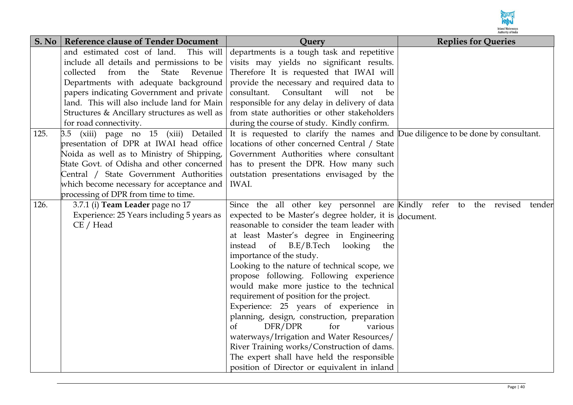

| S. No | <b>Reference clause of Tender Document</b>   | <b>Query</b>                                                                     | <b>Replies for Queries</b> |
|-------|----------------------------------------------|----------------------------------------------------------------------------------|----------------------------|
|       | and estimated cost of land.<br>This will     | departments is a tough task and repetitive                                       |                            |
|       | include all details and permissions to be    | visits may yields no significant results.                                        |                            |
|       | collected<br>from<br>State<br>Revenue<br>the | Therefore It is requested that IWAI will                                         |                            |
|       | Departments with adequate background         | provide the necessary and required data to                                       |                            |
|       | papers indicating Government and private     | consultant. Consultant will not be                                               |                            |
|       | land. This will also include land for Main   | responsible for any delay in delivery of data                                    |                            |
|       | Structures & Ancillary structures as well as | from state authorities or other stakeholders                                     |                            |
|       | for road connectivity.                       | during the course of study. Kindly confirm.                                      |                            |
| 125.  | (xiii) page no 15 (xiii) Detailed<br>3.5     | It is requested to clarify the names and Due diligence to be done by consultant. |                            |
|       | presentation of DPR at IWAI head office      | locations of other concerned Central / State                                     |                            |
|       | Noida as well as to Ministry of Shipping,    | Government Authorities where consultant                                          |                            |
|       | State Govt. of Odisha and other concerned    | has to present the DPR. How many such                                            |                            |
|       | Central / State Government Authorities       | outstation presentations envisaged by the                                        |                            |
|       | which become necessary for acceptance and    | IWAI.                                                                            |                            |
|       | processing of DPR from time to time.         |                                                                                  |                            |
| 126.  | 3.7.1 (i) Team Leader page no 17             | Since the all other key personnel are Kindly refer to the revised tender         |                            |
|       | Experience: 25 Years including 5 years as    | expected to be Master's degree holder, it is document.                           |                            |
|       | CE / Head                                    | reasonable to consider the team leader with                                      |                            |
|       |                                              | at least Master's degree in Engineering                                          |                            |
|       |                                              | B.E/B.Tech<br>instead<br>of<br>looking<br>the                                    |                            |
|       |                                              | importance of the study.                                                         |                            |
|       |                                              | Looking to the nature of technical scope, we                                     |                            |
|       |                                              | propose following. Following experience                                          |                            |
|       |                                              | would make more justice to the technical                                         |                            |
|       |                                              | requirement of position for the project.                                         |                            |
|       |                                              | Experience: 25 years of experience in                                            |                            |
|       |                                              | planning, design, construction, preparation                                      |                            |
|       |                                              | DFR/DPR<br>for<br>оf<br>various                                                  |                            |
|       |                                              | waterways/Irrigation and Water Resources/                                        |                            |
|       |                                              | River Training works/Construction of dams.                                       |                            |
|       |                                              | The expert shall have held the responsible                                       |                            |
|       |                                              | position of Director or equivalent in inland                                     |                            |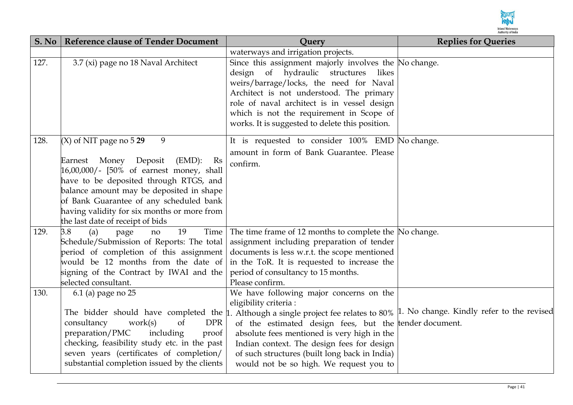

| S. No | <b>Reference clause of Tender Document</b>                                                                                                                                                                                                                                                                                                        | <b>Ouery</b>                                                                                                                                                                                                                                                                                                                                                                                                                                                    | <b>Replies for Queries</b> |
|-------|---------------------------------------------------------------------------------------------------------------------------------------------------------------------------------------------------------------------------------------------------------------------------------------------------------------------------------------------------|-----------------------------------------------------------------------------------------------------------------------------------------------------------------------------------------------------------------------------------------------------------------------------------------------------------------------------------------------------------------------------------------------------------------------------------------------------------------|----------------------------|
|       |                                                                                                                                                                                                                                                                                                                                                   | waterways and irrigation projects.                                                                                                                                                                                                                                                                                                                                                                                                                              |                            |
| 127.  | 3.7 (xi) page no 18 Naval Architect                                                                                                                                                                                                                                                                                                               | Since this assignment majorly involves the No change.<br>design of hydraulic structures<br>likes<br>weirs/barrage/locks, the need for Naval<br>Architect is not understood. The primary<br>role of naval architect is in vessel design<br>which is not the requirement in Scope of<br>works. It is suggested to delete this position.                                                                                                                           |                            |
| 128.  | $(X)$ of NIT page no 5 29<br>9<br>Earnest Money Deposit<br>$(EMD)$ :<br>- Rs<br>$16,00,000/$ - $[50%$ of earnest money, shall<br>have to be deposited through RTGS, and<br>balance amount may be deposited in shape<br>of Bank Guarantee of any scheduled bank<br>having validity for six months or more from<br>the last date of receipt of bids | It is requested to consider 100% EMD No change.<br>amount in form of Bank Guarantee. Please<br>confirm.                                                                                                                                                                                                                                                                                                                                                         |                            |
| 129.  | 3.8<br>19<br>Time<br>(a)<br>page<br>no<br>Schedule/Submission of Reports: The total<br>period of completion of this assignment<br>would be 12 months from the date of<br>signing of the Contract by IWAI and the<br>selected consultant.                                                                                                          | The time frame of 12 months to complete the No change.<br>assignment including preparation of tender<br>documents is less w.r.t. the scope mentioned<br>in the ToR. It is requested to increase the<br>period of consultancy to 15 months.<br>Please confirm.                                                                                                                                                                                                   |                            |
| 130.  | 6.1 (a) page no 25<br>consultancy<br><b>DPR</b><br>work(s)<br>of<br>preparation/PMC<br>including<br>proof<br>checking, feasibility study etc. in the past<br>seven years (certificates of completion/<br>substantial completion issued by the clients                                                                                             | We have following major concerns on the<br>eligibility criteria:<br>The bidder should have completed the $\mu$ . Although a single project fee relates to 80% $\mu$ . No change. Kindly refer to the revised<br>of the estimated design fees, but the tender document.<br>absolute fees mentioned is very high in the<br>Indian context. The design fees for design<br>of such structures (built long back in India)<br>would not be so high. We request you to |                            |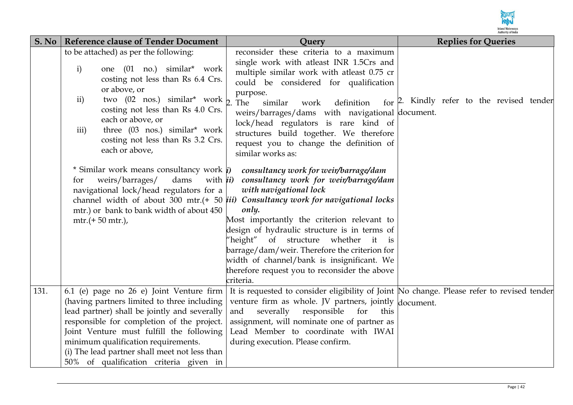

| S. No | <b>Reference clause of Tender Document</b>                                                                                                                                                                                                                                                                                                                               | Query                                                                                                                                                                                                                                                                                                                                                                                                                                                                                                                                    | <b>Replies for Queries</b>                |
|-------|--------------------------------------------------------------------------------------------------------------------------------------------------------------------------------------------------------------------------------------------------------------------------------------------------------------------------------------------------------------------------|------------------------------------------------------------------------------------------------------------------------------------------------------------------------------------------------------------------------------------------------------------------------------------------------------------------------------------------------------------------------------------------------------------------------------------------------------------------------------------------------------------------------------------------|-------------------------------------------|
|       | to be attached) as per the following:<br>$\mathbf{i}$<br>one (01 no.) similar <sup>*</sup> work<br>costing not less than Rs 6.4 Crs.<br>or above, or<br>two (02 nos.) similar* work $\frac{1}{2}$ . The<br>ii)<br>costing not less than Rs 4.0 Crs.<br>each or above, or<br>three (03 nos.) similar* work<br>iii)<br>costing not less than Rs 3.2 Crs.<br>each or above, | reconsider these criteria to a maximum<br>single work with atleast INR 1.5Crs and<br>multiple similar work with atleast 0.75 cr<br>could be considered for qualification<br>purpose.<br>similar<br>definition<br>work<br>weirs/barrages/dams with navigational document.<br>lock/head regulators is rare kind of<br>structures build together. We therefore<br>request you to change the definition of<br>similar works as:                                                                                                              | for 2. Kindly refer to the revised tender |
|       | * Similar work means consultancy work <i>i</i> )<br>weirs/barrages/<br>with <i>ii</i> )<br>dams<br>for<br>navigational lock/head regulators for a<br>mtr.) or bank to bank width of about 450<br>$mtr.(+ 50 mtr.),$                                                                                                                                                      | consultancy work for weir/barrage/dam<br>consultancy work for weir/barrage/dam<br>with navigational lock<br>channel width of about 300 mtr.(+ 50 $\overline{iii}$ ) Consultancy work for navigational locks<br>only.<br>Most importantly the criterion relevant to<br>design of hydraulic structure is in terms of<br>"height" of structure whether<br>it<br>$\frac{1}{15}$<br>barrage/dam/weir. Therefore the criterion for<br>width of channel/bank is insignificant. We<br>therefore request you to reconsider the above<br>criteria. |                                           |
| 131.  | 6.1 (e) page no 26 e) Joint Venture firm<br>(having partners limited to three including<br>lead partner) shall be jointly and severally<br>responsible for completion of the project.<br>Joint Venture must fulfill the following<br>minimum qualification requirements.<br>(i) The lead partner shall meet not less than<br>50% of qualification criteria given in      | It is requested to consider eligibility of Joint No change. Please refer to revised tender<br>venture firm as whole. JV partners, jointly document.<br>severally<br>responsible<br>for<br>and<br>this<br>assignment, will nominate one of partner as<br>Lead Member to coordinate with IWAI<br>during execution. Please confirm.                                                                                                                                                                                                         |                                           |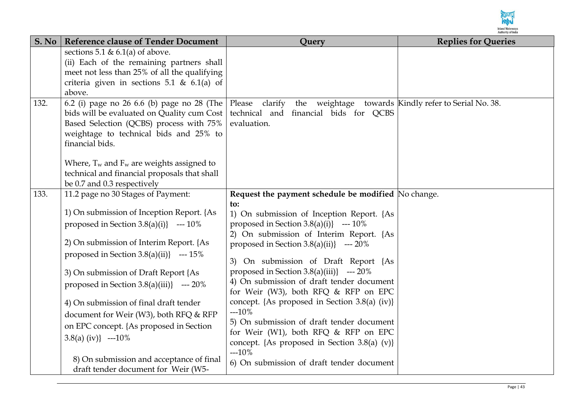

| S. No | <b>Reference clause of Tender Document</b>                                                                                                                                                                                                                                                                                                                                                                                                                                                                                                                        | Query                                                                                                                                                                                                                                                                                                                                                                                                                                                                                                                                                                                                                                                                            | <b>Replies for Queries</b> |
|-------|-------------------------------------------------------------------------------------------------------------------------------------------------------------------------------------------------------------------------------------------------------------------------------------------------------------------------------------------------------------------------------------------------------------------------------------------------------------------------------------------------------------------------------------------------------------------|----------------------------------------------------------------------------------------------------------------------------------------------------------------------------------------------------------------------------------------------------------------------------------------------------------------------------------------------------------------------------------------------------------------------------------------------------------------------------------------------------------------------------------------------------------------------------------------------------------------------------------------------------------------------------------|----------------------------|
|       | sections 5.1 & 6.1(a) of above.<br>(ii) Each of the remaining partners shall<br>meet not less than 25% of all the qualifying<br>criteria given in sections 5.1 & $6.1(a)$ of<br>above.                                                                                                                                                                                                                                                                                                                                                                            |                                                                                                                                                                                                                                                                                                                                                                                                                                                                                                                                                                                                                                                                                  |                            |
| 132.  | 6.2 (i) page no 26 6.6 (b) page no 28 (The<br>bids will be evaluated on Quality cum Cost<br>Based Selection (QCBS) process with 75%<br>weightage to technical bids and 25% to<br>financial bids.<br>Where, $T_w$ and $F_w$ are weights assigned to<br>technical and financial proposals that shall<br>be 0.7 and 0.3 respectively                                                                                                                                                                                                                                 | Please clarify<br>the weightage towards Kindly refer to Serial No. 38.<br>technical and financial bids for QCBS<br>evaluation.                                                                                                                                                                                                                                                                                                                                                                                                                                                                                                                                                   |                            |
| 133.  | 11.2 page no 30 Stages of Payment:<br>1) On submission of Inception Report. {As<br>proposed in Section 3.8(a)(i)} --- $10\%$<br>2) On submission of Interim Report. {As<br>proposed in Section $3.8(a)(ii)$ --- 15%<br>3) On submission of Draft Report {As<br>proposed in Section 3.8(a)(iii)} --- $20\%$<br>4) On submission of final draft tender<br>document for Weir (W3), both RFQ & RFP<br>on EPC concept. {As proposed in Section<br>3.8(a) (iv) $\left(-20\% \right)$<br>8) On submission and acceptance of final<br>draft tender document for Weir (W5- | Request the payment schedule be modified No change.<br>to:<br>1) On submission of Inception Report. {As<br>proposed in Section 3.8(a)(i)} --- $10\%$<br>2) On submission of Interim Report. {As<br>proposed in Section $3.8(a)(ii)$ --- 20%<br>3) On submission of Draft Report {As<br>proposed in Section 3.8(a)(iii)} --- $20\%$<br>4) On submission of draft tender document<br>for Weir (W3), both RFQ & RFP on EPC<br>concept. {As proposed in Section 3.8(a) (iv)}<br>$-10%$<br>5) On submission of draft tender document<br>for Weir (W1), both RFQ & RFP on EPC<br>concept. {As proposed in Section $3.8(a)$ (v)}<br>$-10%$<br>6) On submission of draft tender document |                            |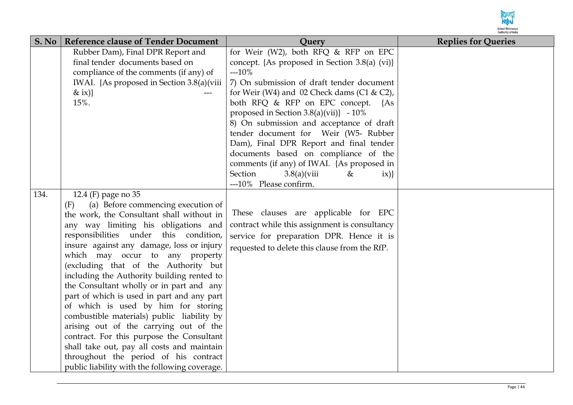

| S. No | <b>Reference clause of Tender Document</b>                       | Query                                                                         | <b>Replies for Queries</b> |
|-------|------------------------------------------------------------------|-------------------------------------------------------------------------------|----------------------------|
|       | Rubber Dam), Final DPR Report and                                | for Weir (W2), both RFQ & RFP on EPC                                          |                            |
|       | final tender documents based on                                  | concept. {As proposed in Section 3.8(a) (vi)}                                 |                            |
|       | compliance of the comments (if any) of                           | $-10%$                                                                        |                            |
|       | IWAI. {As proposed in Section 3.8(a)(viii)                       | 7) On submission of draft tender document                                     |                            |
|       | & ix)}                                                           | for Weir (W4) and 02 Check dams (C1 & C2),                                    |                            |
|       | 15%.                                                             | both RFQ & RFP on EPC concept. {As                                            |                            |
|       |                                                                  | proposed in Section $3.8(a)(vii)$ - $10\%$                                    |                            |
|       |                                                                  | 8) On submission and acceptance of draft                                      |                            |
|       |                                                                  | tender document for Weir (W5- Rubber                                          |                            |
|       |                                                                  | Dam), Final DPR Report and final tender                                       |                            |
|       |                                                                  | documents based on compliance of the                                          |                            |
|       |                                                                  | comments (if any) of IWAI. {As proposed in                                    |                            |
|       |                                                                  | Section<br>$3.8(a)$ (viii<br>&<br>$\{i\mathbf{x}\}$<br>---10% Please confirm. |                            |
| 134.  |                                                                  |                                                                               |                            |
|       | 12.4 (F) page no 35<br>(a) Before commencing execution of<br>(F) |                                                                               |                            |
|       | the work, the Consultant shall without in                        | These clauses are applicable for EPC                                          |                            |
|       | any way limiting his obligations and                             | contract while this assignment is consultancy                                 |                            |
|       | responsibilities under this condition,                           | service for preparation DPR. Hence it is                                      |                            |
|       | insure against any damage, loss or injury                        |                                                                               |                            |
|       | which may occur to any property                                  | requested to delete this clause from the RfP.                                 |                            |
|       | (excluding that of the Authority but                             |                                                                               |                            |
|       | including the Authority building rented to                       |                                                                               |                            |
|       | the Consultant wholly or in part and any                         |                                                                               |                            |
|       | part of which is used in part and any part                       |                                                                               |                            |
|       | of which is used by him for storing                              |                                                                               |                            |
|       | combustible materials) public liability by                       |                                                                               |                            |
|       | arising out of the carrying out of the                           |                                                                               |                            |
|       | contract. For this purpose the Consultant                        |                                                                               |                            |
|       | shall take out, pay all costs and maintain                       |                                                                               |                            |
|       | throughout the period of his contract                            |                                                                               |                            |
|       | public liability with the following coverage.                    |                                                                               |                            |